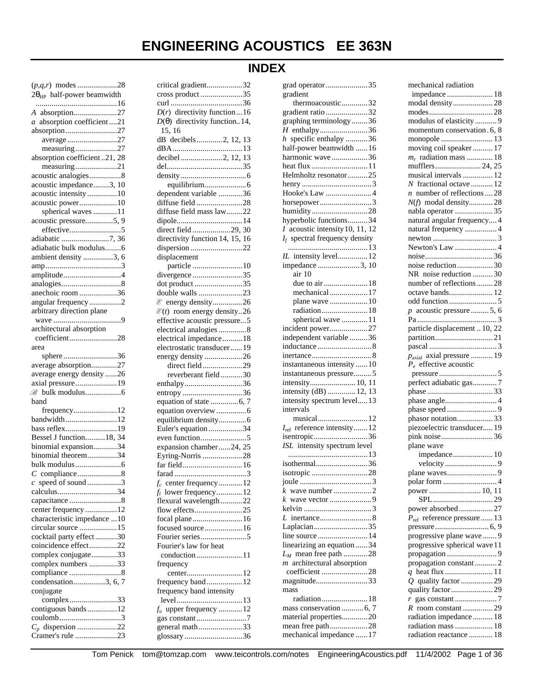# **INDEX**

| $2\theta_{HP}$ half-power beamwidth        |
|--------------------------------------------|
|                                            |
|                                            |
| A absorption27                             |
| absorption coefficient21<br>$\mathfrak{a}$ |
| absorption27                               |
|                                            |
| average 27                                 |
| measuring27                                |
| absorption coefficient21, 28               |
|                                            |
| measuring21                                |
| acoustic analogies8                        |
| acoustic impedance3, 10                    |
|                                            |
| acoustic intensity10                       |
| acoustic power10                           |
|                                            |
| spherical waves 11                         |
| acoustic pressure5, 9                      |
|                                            |
| adiabatic 7, 36                            |
|                                            |
| adiabatic bulk modulus6                    |
| ambient density 3, 6                       |
|                                            |
|                                            |
| amplitude4                                 |
|                                            |
|                                            |
| anechoic room 36                           |
| angular frequency 2                        |
| arbitrary direction plane                  |
|                                            |
|                                            |
| architectural absorption                   |
| coefficient28                              |
|                                            |
| area                                       |
| sphere36                                   |
| average absorption27                       |
|                                            |
| average energy density 26                  |
| axial pressure19                           |
|                                            |
|                                            |
|                                            |
| band                                       |
|                                            |
| frequency12                                |
| bandwidth12                                |
| bass reflex19                              |
|                                            |
| Bessel J function 18, 34                   |
| binomial expansion34                       |
|                                            |
| binomial theorem34                         |
|                                            |
|                                            |
|                                            |
| $c$ speed of sound3                        |
| calculus34                                 |
| capacitance 8                              |
|                                            |
| center frequency 12                        |
| characteristic impedance 10                |
| circular source 15                         |
|                                            |
| cocktail party effect30                    |
| coincidence effect22                       |
| complex conjugate33                        |
|                                            |
| complex numbers 33                         |
| compliance 8                               |
| condensation3, 6, 7                        |
|                                            |
| conjugate                                  |
| complex33                                  |
| contiguous bands12                         |
|                                            |
| coulomb3                                   |
| $C_p$ dispersion 22<br>Cramer's rule 23    |

| critical gradient32                    |
|----------------------------------------|
| cross product 35                       |
|                                        |
| $D(r)$ directivity function  16        |
| $D(\theta)$ directivity function14,    |
| 15, 16                                 |
| dB decibels2, 12, 13                   |
|                                        |
| decibel2, 12, 13                       |
|                                        |
|                                        |
|                                        |
| dependent variable 36                  |
| diffuse field 28                       |
| diffuse field mass law22               |
| dipole14                               |
| direct field 29, 30                    |
| directivity function 14, 15, 16        |
| dispersion 22                          |
| displacement                           |
|                                        |
|                                        |
| divergence 35                          |
| dot product 35                         |
| double walls 23                        |
| $\mathscr E$ energy density26          |
| $\mathcal{E}(t)$ room energy density26 |
| effective acoustic pressure5           |
| electrical analogies 8                 |
| electrical impedance18                 |
| electrostatic transducer19             |
| energy density 26                      |
| direct field29                         |
|                                        |
| reverberant field30                    |
| enthalpy36                             |
| entropy 36                             |
|                                        |
| equation overview 6                    |
| equilibrium density6                   |
| Euler's equation 34                    |
|                                        |
| expansion chamber24, 25                |
| Eyring-Norris 28                       |
| far field16                            |
|                                        |
|                                        |
| $f_c$ center frequency12               |
| $f_l$ lower frequency12                |
| flexural wavelength22                  |
| flow effects25                         |
| focal plane16                          |
| focused source 16                      |
|                                        |
| Fourier's law for heat                 |
| conduction11                           |
| frequency                              |
|                                        |
| frequency band12                       |
| frequency band intensity               |
|                                        |
| $f_u$ upper frequency 12               |
| gas constant7                          |
| general math33<br>glossary36           |

| grad operator 35                                      |
|-------------------------------------------------------|
| gradient                                              |
| thermoacoustic32                                      |
| gradient ratio 32                                     |
| graphing terminology36                                |
| H enthalpy36                                          |
| $h$ specific enthalpy 36                              |
| half-power beamwidth  16                              |
| harmonic wave36                                       |
| heat flux 11<br>Helmholtz resonator25                 |
|                                                       |
| Hooke's Law  4                                        |
| horsepower3                                           |
| humidity28                                            |
| hyperbolic functions34                                |
| $I$ acoustic intensity 10, 11, 12                     |
| $I_f$ spectral frequency density                      |
|                                                       |
| IL intensity level 12                                 |
| impedance 3, 10                                       |
| air 10                                                |
|                                                       |
| mechanical  17                                        |
| plane wave  10                                        |
| radiation 18                                          |
| spherical wave  11                                    |
| incident power27                                      |
| independent variable 36                               |
|                                                       |
|                                                       |
| instantaneous intensity  10                           |
| instantaneous pressure5                               |
| intensity 10, 11                                      |
| intensity (dB)  12, 13                                |
| intensity spectrum level 13                           |
| intervals                                             |
| musical 12<br>$I_{\text{ref}}$ reference intensity 12 |
| isentropic36                                          |
| ISL intensity spectrum level                          |
|                                                       |
| isothermal36                                          |
|                                                       |
|                                                       |
|                                                       |
|                                                       |
|                                                       |
|                                                       |
| Laplacian35                                           |
| line source  14                                       |
| linearizing an equation  34                           |
| $L_M$ mean free path 28                               |
| $m$ architectural absorption                          |
| coefficient 28                                        |
| magnitude33                                           |
| mass                                                  |
| radiation 18                                          |
| mass conservation  6, 7                               |
| material properties20                                 |
| mean free path28                                      |
| mechanical impedance  17                              |

| mechanical radiation                          |
|-----------------------------------------------|
|                                               |
| modal density 28                              |
|                                               |
| modulus of elasticity 9                       |
| momentum conservation. 6, 8                   |
|                                               |
| moving coil speaker  17                       |
| $m_r$ radiation mass  18                      |
| mufflers 24, 25                               |
| musical intervals  12                         |
| N fractional octave  12                       |
| $n$ number of reflections  28                 |
| $N(f)$ modal density 28                       |
| nabla operator  35                            |
| natural angular frequency 4                   |
| natural frequency  4                          |
|                                               |
| Newton's Law  4                               |
|                                               |
| noise reduction 30                            |
| NR noise reduction  30                        |
| number of reflections28                       |
| octave bands 12                               |
|                                               |
| $p$ acoustic pressure  5, 6                   |
|                                               |
| particle displacement  10, 22                 |
|                                               |
|                                               |
| $p_{\text{axial}}$ axial pressure  19         |
| $P_e$ effective acoustic                      |
|                                               |
|                                               |
|                                               |
|                                               |
|                                               |
|                                               |
|                                               |
| phasor notation33                             |
| piezoelectric transducer 19                   |
|                                               |
| plane wave                                    |
| impedance 10                                  |
|                                               |
|                                               |
|                                               |
|                                               |
|                                               |
| power absorbed 27                             |
| $P_{\text{ref}}$ reference pressure  13       |
|                                               |
| progressive plane wave 9                      |
| progressive spherical wave 11                 |
|                                               |
| propagation constant2                         |
|                                               |
|                                               |
| quality factor29                              |
|                                               |
|                                               |
| radiation impedance  18<br>radiation mass  18 |

Tom Penick tom@tomzap.com www.teicontrols.com/notes EngineeringAcoustics.pdf 11/4/2002 Page 1 of 36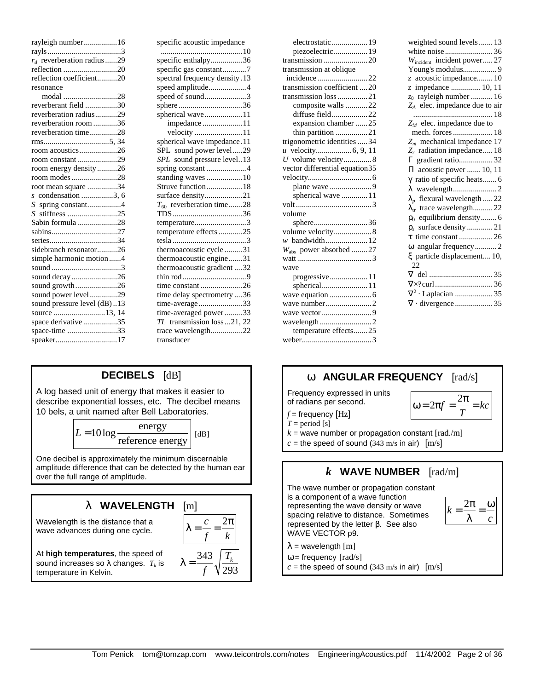| rayleigh number16                            |  |
|----------------------------------------------|--|
|                                              |  |
| $r_d$ reverberation radius29                 |  |
| reflection 20                                |  |
| reflection coefficient20                     |  |
| resonance                                    |  |
| modal 28                                     |  |
| reverberant field 30                         |  |
| reverberation radius29                       |  |
| reverberation room 36                        |  |
| reverberation time28                         |  |
|                                              |  |
| room acoustics26                             |  |
| room constant29                              |  |
| room energy density26                        |  |
| room modes28                                 |  |
| root mean square 34                          |  |
| $s$ condensation 3, 6                        |  |
| S spring constant4                           |  |
| stiffness 25<br>S                            |  |
| Sabin formula28                              |  |
|                                              |  |
|                                              |  |
| sidebranch resonator26                       |  |
| simple harmonic motion4                      |  |
|                                              |  |
| sound decay26                                |  |
| sound growth26                               |  |
|                                              |  |
|                                              |  |
| sound power level29                          |  |
| sound pressure level (dB)13<br>source 13, 14 |  |
| space derivative 35                          |  |
| space-time 33                                |  |

| specific acoustic impedance   |
|-------------------------------|
| specific enthalpy36           |
|                               |
| specific gas constant7        |
| spectral frequency density.13 |
| speed amplitude4              |
| speed of sound3               |
| sphere36                      |
| spherical wave11              |
| impedance 11                  |
|                               |
| spherical wave impedance.11   |
| SPL sound power level29       |
| SPL sound pressure level13    |
| spring constant 4             |
| standing waves  10            |
| Struve function18             |
| surface density21             |
| $T_{60}$ reverberation time28 |
|                               |
| temperature3                  |
| temperature effects 25        |
|                               |
| thermoacoustic cycle31        |
| thermoacoustic engine31       |
| thermoacoustic gradient 32    |
|                               |
| time constant 26              |
| time delay spectrometry 36    |
| time-average33                |
| time-averaged power33         |
| TL transmission loss  21, 22  |
| trace wavelength22            |
| transducer                    |

# **DECIBELS** [dB]

A log based unit of energy that makes it easier to describe exponential losses, etc. The decibel means 10 bels, a unit named after Bell Laboratories.

$$
L = 10 \log \frac{\text{energy}}{\text{reference energy}} \quad \text{[dB]}
$$

One decibel is approximately the minimum discernable amplitude difference that can be detected by the human ear over the full range of amplitude.

## **l****WAVELENGTH** [m]

Wavelength is the distance that a wave advances during one cycle.



*f*

293

At **high temperatures**, the speed of sound increases so λ changes. *T<sup>k</sup>* is temperature in Kelvin.

| electrostatic  19                  |
|------------------------------------|
| piezoelectric 19                   |
|                                    |
| transmission at oblique            |
| incidence 22                       |
| transmission coefficient 20        |
| transmission loss 21               |
| composite walls 22                 |
| diffuse field22                    |
| expansion chamber 25               |
| thin partition 21                  |
| trigonometric identities  34       |
|                                    |
| U volume velocity8                 |
| vector differential equation 35    |
|                                    |
|                                    |
| spherical wave  11                 |
|                                    |
| volume                             |
| sphere36                           |
| volume velocity8                   |
| w bandwidth 12                     |
| $W_{\text{abs}}$ power absorbed 27 |
|                                    |
| wave                               |
| progressive 11                     |
|                                    |
|                                    |
|                                    |
|                                    |

| weighted sound levels  13<br>Wincident incident power 27<br>Young's modulus 9<br>z acoustic impedance 10<br>z impedance  10, 11<br>$z_0$ rayleigh number  16<br>$Z_A$ elec. impedance due to air<br>18 |
|--------------------------------------------------------------------------------------------------------------------------------------------------------------------------------------------------------|
| $Z_M$ elec. impedance due to                                                                                                                                                                           |
| mech. forces  18                                                                                                                                                                                       |
| $Z_m$ mechanical impedance 17                                                                                                                                                                          |
| $Z_r$ radiation impedance 18                                                                                                                                                                           |
| $\Gamma$ gradient ratio32                                                                                                                                                                              |
| $\Pi$ acoustic power  10, 11                                                                                                                                                                           |
|                                                                                                                                                                                                        |
| $\gamma$ ratio of specific heats 6                                                                                                                                                                     |
|                                                                                                                                                                                                        |
| $\lambda_p$ flexural wavelength  22                                                                                                                                                                    |
| $\lambda_{tr}$ trace wavelength 22                                                                                                                                                                     |
| $\rho_0$ equilibrium density 6                                                                                                                                                                         |
| $\rho_s$ surface density  21                                                                                                                                                                           |
|                                                                                                                                                                                                        |
| ω angular frequency2                                                                                                                                                                                   |
| ξ particle displacement 10,<br>22                                                                                                                                                                      |
|                                                                                                                                                                                                        |
|                                                                                                                                                                                                        |
| $\nabla^2 \cdot$ Laplacian 35                                                                                                                                                                          |
|                                                                                                                                                                                                        |
|                                                                                                                                                                                                        |

# **w ANGULAR FREQUENCY** [rad/s] Frequency expressed in units

of radians per second.

wavelength ..........................2 temperature effects.......25 weber...................................3

$$
\omega = 2\pi f = \frac{2\pi}{T} =
$$

*f* = frequency [Hz]  $T = period[s]$ 

 $k =$  wave number or propagation constant  $\lceil \text{rad./m} \rceil$ 

 $c =$  the speed of sound (343 m/s in air)  $[m/s]$ 

## *k* **WAVE NUMBER** [rad/m]

The wave number or propagation constant is a component of a wave function representing the wave density or wave spacing relative to distance. Sometimes represented by the letter β. See also WAVE VECTOR p9.



2 *f kc*

 $\lambda$  = wavelength  $[m]$ 

 $\omega$  = frequency [rad/s]

 $c =$  the speed of sound (343 m/s in air)  $[m/s]$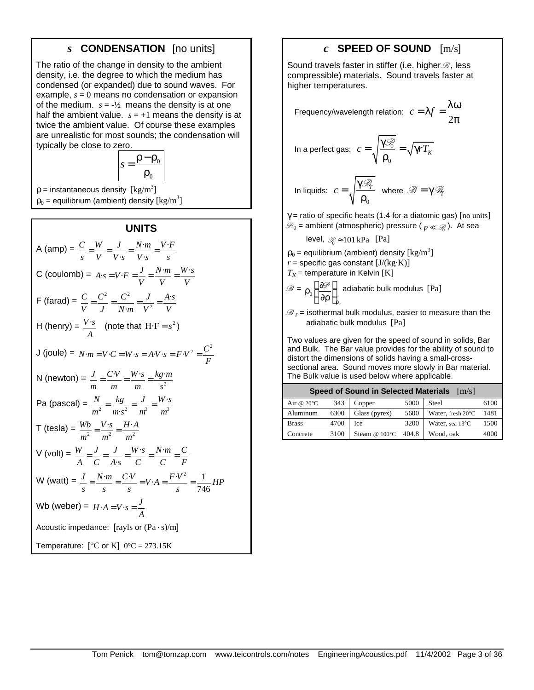## *s* **CONDENSATION** [no units]

The ratio of the change in density to the ambient density, i.e. the degree to which the medium has condensed (or expanded) due to sound waves. For example, *s* = 0 means no condensation or expansion of the medium.  $s = -\frac{1}{2}$  means the density is at one half the ambient value.  $s = +1$  means the density is at twice the ambient value. Of course these examples are unrealistic for most sounds; the condensation will typically be close to zero.



 $p =$  instantaneous density  $\left[\text{kg/m}^3\right]$  $\rho_0$  = equilibrium (ambient) density [kg/m<sup>3</sup>]

#### **UNITS**

A (amp) = 
$$
\frac{C}{s} = \frac{W}{V} = \frac{J}{V \cdot s} = \frac{N \cdot m}{V \cdot s} = \frac{V \cdot F}{s}
$$
  
\nC (coulomb) = A·s = V·F =  $\frac{J}{V} = \frac{N \cdot m}{V} = \frac{W \cdot s}{V}$   
\nF (farad) =  $\frac{C}{V} = \frac{C^2}{J} = \frac{C^2}{N \cdot m} = \frac{J}{V^2} = \frac{A \cdot s}{V}$   
\nH (henry) =  $\frac{V \cdot s}{A}$  (note that H·F = s<sup>2</sup>)  
\nJ (joule) = N·m = V·C = W·s = A·V·s = F·V<sup>2</sup> =  $\frac{C^2}{F}$   
\nN (newton) =  $\frac{J}{m} = \frac{C \cdot V}{m} = \frac{W \cdot s}{m} = \frac{kg \cdot m}{s^2}$   
\nPa (pascal) =  $\frac{N}{m^2} = \frac{kg}{m \cdot s^2} = \frac{J}{m^3} = \frac{W \cdot s}{m^3}$   
\nT (tesla) =  $\frac{Wb}{m^2} = \frac{V \cdot s}{m^2} = \frac{H \cdot A}{m^2}$   
\nV (volt) =  $\frac{W}{A} = \frac{J}{C} = \frac{J}{A \cdot s} = \frac{W \cdot s}{C} = \frac{N \cdot m}{C} = \frac{C}{F}$   
\nW (watt) =  $\frac{J}{s} = \frac{N \cdot m}{s} = \frac{C \cdot V}{s} = V \cdot A = \frac{F \cdot V^2}{s} = \frac{1}{746} H P$   
\nWb (weber) = H·A = V·s =  $\frac{J}{A}$   
\nAcoustic impedance: [rays or (Pa·s)/m]  
\nTemperature: [°C or K] 0°C = 273.15K

## *c* **SPEED OF SOUND** [m/s]

Sound travels faster in stiffer (i.e. higher  $\mathcal{B}$ , less compressible) materials. Sound travels faster at higher temperatures.

Frequency/wavelength relation: 
$$
c = \lambda f = \frac{\lambda \omega}{2\pi}
$$

In a perfect gas: 
$$
c = \sqrt{\frac{\gamma \mathcal{P}_0}{\rho_0}} = \sqrt{\gamma r T_K}
$$

In liquids: 
$$
c = \sqrt{\frac{\gamma \mathcal{B}_r}{\rho_0}}
$$
 where  $\mathcal{B} = \gamma \mathcal{B}_r$ 

 $\gamma$  = ratio of specific heats (1.4 for a diatomic gas) [no units]  $\mathscr{P}_0$  = ambient (atmospheric) pressure (  ${}_{p}\ll\mathscr{P}_0$  ). At sea

$$
level, \mathcal{D}_0 \approx 101 \text{ kPa} \quad \text{[Pa]}
$$

 $\rho_0$  = equilibrium (ambient) density [kg/m<sup>3</sup>]

 $r =$  specific gas constant  $[J/(kg·K)]$ 

 $T_K$  = temperature in Kelvin [K]

$$
\mathcal{B} = \rho_0 \left( \frac{\partial \mathcal{P}}{\partial \rho} \right)_{\rho_0}
$$
adiabatic bulk modulus [Pa]

 $\mathscr{B}_T$  = isothermal bulk modulus, easier to measure than the adiabatic bulk modulus [Pa]

Two values are given for the speed of sound in solids, Bar and Bulk. The Bar value provides for the ability of sound to distort the dimensions of solids having a small-crosssectional area. Sound moves more slowly in Bar material. The Bulk value is used below where applicable.

| <b>Speed of Sound in Selected Materials</b> [m/s] |      |                         |       |                   |      |
|---------------------------------------------------|------|-------------------------|-------|-------------------|------|
| Air @ $20^{\circ}$ C                              | 343  | Copper                  | 5000  | Steel             | 6100 |
| Aluminum                                          | 6300 | Glass (pyrex)           | 5600  | Water, fresh 20°C | 1481 |
| <b>Brass</b>                                      | 4700 | Ice                     | 3200  | Water, sea 13°C   | 1500 |
| Concrete                                          | 3100 | Steam @ $100^{\circ}$ C | 404.8 | Wood, oak         | 4000 |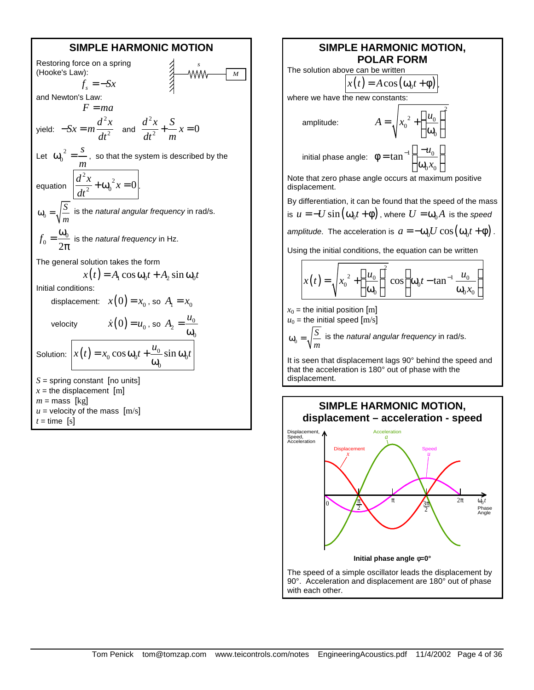

#### **SIMPLE HARMONIC MOTION, POLAR FORM**

2

 $\mathbf{0}$ 

 $\left( u_{0}\right)$ 

 $\frac{2}{0} + \frac{u_0}{2}$ 

 $A = \sqrt{x_0^2 + \frac{u}{x_0^2}}$ 

The solution above can be written

 $x(t) = A\cos(\omega_0 t + \phi)$ 

where we have the new constants:

amplitude:

$$
A = \sqrt{x_0^2 + \left(\frac{u_0}{\omega_0}\right)^2}
$$

initial phase angle:  $\phi = \tan^{-1} \left( \frac{-u_0}{\phi}\right)^{-1}$  $_{0}$  $\lambda_{0}$ *u x*  $\phi = \tan^{-1} \left( \frac{u_0}{\omega_0 x_0} \right)$ 

Note that zero phase angle occurs at maximum positive displacement.

By differentiation, it can be found that the speed of the mass is  $u = -U \sin(\omega_0 t + \phi)$  , where  $U = \omega_0 A$  is the *speed amplitude*. The acceleration is  $a = -\omega_0 U \cos(\omega_0 t + \phi)$ .

Using the initial conditions, the equation can be written

$$
x(t) = \sqrt{x_0^2 + \left(\frac{u_0}{\omega_0}\right)^2} \cos\left(\omega_0 t - \tan^{-1}\frac{u_0}{\omega_0 x_0}\right)
$$

 $x_0$  = the initial position [m]

 $u_0$  = the initial speed  $[m/s]$  $\mathbf 0$ *S m*  $\omega_{0} = \sqrt{\frac{3}{2}}$  is the *natural angular frequency* in rad/s.

It is seen that displacement lags 90° behind the speed and that the acceleration is 180° out of phase with the displacement.



with each other.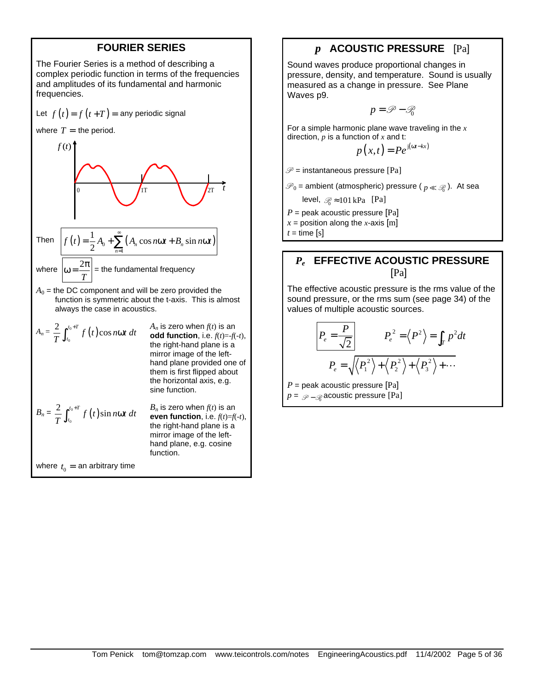## **FOURIER SERIES**

The Fourier Series is a method of describing a complex periodic function in terms of the frequencies and amplitudes of its fundamental and harmonic frequencies.

Let 
$$
f(t) = f(t+T) =
$$
 any periodic signal

where  $T =$  the period.



where 
$$
\omega = \frac{2\pi}{T}
$$
 = the fundamental frequency

 $A_0$  = the DC component and will be zero provided the function is symmetric about the t-axis. This is almost always the case in acoustics.

axis, e.g.

$$
A_n = \frac{2}{T} \int_{t_0}^{t_0+T} f(t) \cos n\omega t \, dt
$$
\n
$$
A_n \text{ is zero when } f(t) \text{ is an } \text{odd function, i.e., } f(t) = -f(-t),
$$
\nthe right-hand plane is a mirror image of the left-hand plane provided one of them is first flipped about the horizontal axis, e.g. sine function.\n
$$
B_n = \frac{2}{T} \int_{t_0}^{t_0+T} f(t) \sin n\omega t \, dt
$$
\n
$$
B_n \text{ is zero when } f(t) \text{ is an } \text{even function, i.e., } f(t) = f(-t),
$$
\nthe right-hand plane is a mirror image of the left-hand plane, e.g. cosine function.

where  $t_0 =$  an arbitrary time

## *p* **ACOUSTIC PRESSURE** [Pa]

Sound waves produce proportional changes in pressure, density, and temperature. Sound is usually measured as a change in pressure. See Plane Waves p9.

$$
p = \mathcal{P} - \mathcal{P}_0
$$

For a simple harmonic plane wave traveling in the *x* direction, *p* is a function of *x* and t:

$$
p(x,t) = Pe^{j(\omega t - kx)}
$$

 $\mathscr{P}$  = instantaneous pressure [Pa]

 $\mathscr{P}_0$  = ambient (atmospheric) pressure (  ${}_p\ll\mathscr{P}_0$  ). At sea

level,  $\mathcal{D} \approx 101$  kPa [Pa]

*P* = peak acoustic pressure [Pa]

 $x =$  position along the *x*-axis [m]

 $t =$  time [s]

## *Pe* **EFFECTIVE ACOUSTIC PRESSURE** [Pa]

The effective acoustic pressure is the rms value of the sound pressure, or the rms sum (see page 34) of the values of multiple acoustic sources.

$$
\frac{P_e = \frac{P}{\sqrt{2}}}{P_e = \sqrt{\left\langle P_1^2 \right\rangle + \left\langle P_2^2 \right\rangle + \left\langle P_3^2 \right\rangle + \cdots}}
$$
\n
$$
P_e = \sqrt{\left\langle P_1^2 \right\rangle + \left\langle P_2^2 \right\rangle + \left\langle P_3^2 \right\rangle + \cdots}}
$$

*P* = peak acoustic pressure [Pa]  $p$  =  $\mathcal{P}$  –  $\mathcal{R}$  acoustic pressure [Pa]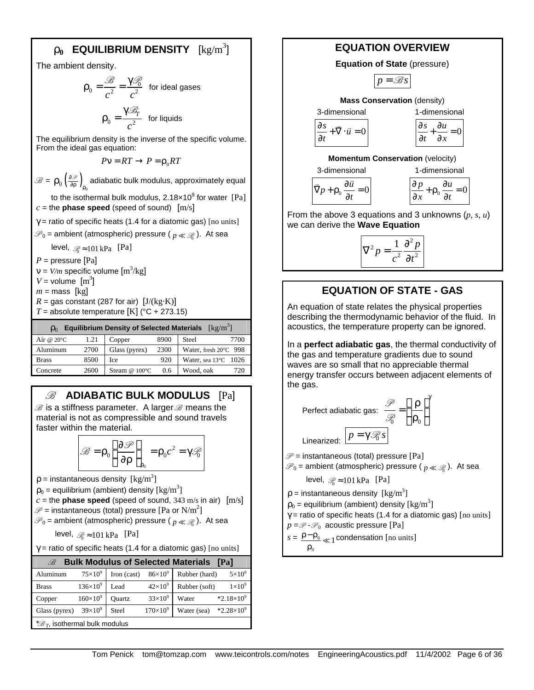# $\mathbf{r_0}$  EQUILIBRIUM DENSITY  $\rm [kg/m^3]$

The ambient density.

$$
\rho_0 = \frac{\mathcal{B}}{c^2} = \frac{\gamma \mathcal{B}}{c^2} \quad \text{for ideal gases}
$$
\n
$$
\rho_0 = \frac{\gamma \mathcal{B}_r}{c^2} \quad \text{for liquids}
$$

The equilibrium density is the inverse of the specific volume. From the ideal gas equation:

$$
P\mathsf{v} = RT \rightarrow P = \rho_0 RT
$$

 $\mathscr{B} = \rho_0 \left( \frac{\partial \mathscr{P}}{\partial \rho} \right)$ 0 ∂  $\rho_{0}\big(\frac{\partial \mathscr{P}}{\partial \rho}\big)_{\rho_{0}}$  adiabatic bulk modulus, approximately equal

to the isothermal bulk modulus, 2.18 $\times$ 10<sup>9</sup> for water [Pa]  $c =$  the **phase speed** (speed of sound)  $[m/s]$ 

 $\gamma$  = ratio of specific heats (1.4 for a diatomic gas) [no units]

 $\mathscr{P}_0$  = ambient (atmospheric) pressure (  ${}_{p}\ll\mathscr{P}_0$  ). At sea

level,  $\mathcal{R} \approx 101 \text{ kPa}$  [Pa]

 $P =$  pressure [Pa]

 $v = V/m$  specific volume  $[m^3/kg]$ 

 $V =$  volume  $[m^3]$ 

 $m =$  mass [kg]

 $R =$  gas constant (287 for air)  $[J/(kg·K)]$ 

*T* = absolute temperature [K] ( $^{\circ}$ C + 273.15)

| Equilibrium Density of Selected Materials $\lceil \text{kg/m}^3 \rceil$<br>$\mathsf{D}_0$ |      |                    |      |                                |
|-------------------------------------------------------------------------------------------|------|--------------------|------|--------------------------------|
| Air @ $20^{\circ}$ C                                                                      | 1.21 | Copper             | 8900 | Steel<br>7700                  |
| Aluminum                                                                                  | 2700 | Glass (pyrex)      | 2300 | Water, fresh 20°C 998          |
| <b>Brass</b>                                                                              | 8500 | Ice                | 920  | Water, sea $13^{\circ}$ C 1026 |
| Concrete                                                                                  | 2600 | Steam $@$ 100 $°C$ | 0.6  | 720<br>Wood, oak               |

## B **ADIABATIC BULK MODULUS** [Pa]

 $\mathscr B$  is a stiffness parameter. A larger  $\mathscr B$  means the material is not as compressible and sound travels faster within the material.

$$
\mathscr{B} = \rho_0 \left( \frac{\partial \mathscr{P}}{\partial \rho} \right)_{\rho_0} = \rho_0 c^2 = \gamma \mathscr{P}_0
$$

 $p =$  instantaneous density  $\left[\text{kg/m}^3\right]$ 

 $\rho_0$  = equilibrium (ambient) density [kg/m<sup>3</sup>]

 $c =$  the **phase speed** (speed of sound, 343 m/s in air)  $[m/s]$ 

 $\mathscr{P}$  = instantaneous (total) pressure [P $\text{a}$  or  $\text{N/m}^2\text{]}$ 

 $\mathscr{P}_0$  = ambient (atmospheric) pressure (  ${}_p\ll\mathscr{P}_0$  ). At sea

$$
level, \mathcal{D} \approx 101 \,\text{kPa} \quad \text{[Pa]}
$$

 $\gamma$  = ratio of specific heats (1.4 for a diatomic gas) [no units]

| <b>Bulk Modulus of Selected Materials</b><br><b>TPal</b> |                   |               |                   |                                    |
|----------------------------------------------------------|-------------------|---------------|-------------------|------------------------------------|
| Aluminum                                                 | $75\times10^9$    | Iron (cast)   | $86\times10^{9}$  | $5\times10^9$<br>Rubber (hard)     |
| <b>Brass</b>                                             | $136\times10^{9}$ | Lead          | $42\times10^9$    | $1\times10^9$<br>Rubber (soft)     |
| Copper                                                   | $160\times10^{9}$ | <b>Ouartz</b> | $33\times10^9$    | $*2.18\times10^{9}$<br>Water       |
| Glass (pyrex)                                            | $39\times10^9$    | <b>Steel</b>  | $170\times10^{9}$ | $*2.28\times10^{9}$<br>Water (sea) |
| * $\mathscr{B}_T$ , isothermal bulk modulus              |                   |               |                   |                                    |

## **EQUATION OVERVIEW**

**Equation of State** (pressure)

$$
p = \mathcal{B}s
$$

**Mass Conservation** (density)

3-dimensional  
\n
$$
\frac{\partial s}{\partial t} + \nabla \cdot \vec{u} = 0
$$
\n
$$
\frac{\partial s}{\partial t} + \frac{\partial u}{\partial x} = 0
$$

 $= 0$ ∂s ∂u *t x*  $+\frac{6u}{2}$  =  $\partial t$ 

**Momentum Conservation** (velocity)

3-dimensional  
\n
$$
\overline{\nabla}p + \rho_0 \frac{\partial \overline{u}}{\partial x} = 0
$$
\n
$$
\frac{\partial p}{\partial x} + \rho_0 \frac{\partial u}{\partial x} = 0
$$

*t*

∂

 $\frac{p}{p} + \rho_0 \frac{\partial u}{\partial x} = 0$  $x \int f^0 d t$  $\frac{\partial p}{\partial x} + \rho_0 \frac{\partial u}{\partial y} =$  $\partial x$   $\int_{0}^{b} 0$ 

From the above 3 equations and 3 unknowns (*p, s, u*) we can derive the **Wave Equation**

$$
\nabla^2 p = \frac{1}{c^2} \frac{\partial^2 p}{\partial t^2}
$$

## **EQUATION OF STATE - GAS**

An equation of state relates the physical properties describing the thermodynamic behavior of the fluid. In acoustics, the temperature property can be ignored.

In a **perfect adiabatic gas**, the thermal conductivity of the gas and temperature gradients due to sound waves are so small that no appreciable thermal energy transfer occurs between adjacent elements of the gas.

Perfect adiabatic gas: 
$$
\frac{\mathcal{P}}{\mathcal{P}_0} = \left(\frac{\rho}{\rho_0}\right)^{\gamma}
$$
  
Linearized: 
$$
p = \gamma \mathcal{P}_0 s
$$

 $\mathscr{P}$  = instantaneous (total) pressure [Pa]

 $\mathscr{P}_0$  = ambient (atmospheric) pressure (  $p \ll \mathscr{P}_0$  ). At sea

level,  $\mathcal{R} \approx 101$  kPa [Pa]

 $\rho$  = instantaneous density  $\text{[kg/m}^3\text{]}$ 

 $\rho_0$  = equilibrium (ambient) density [kg/m<sup>3</sup>]

 $\gamma$  = ratio of specific heats (1.4 for a diatomic gas) [no units]

 $p = \mathscr{P} \cdot \mathscr{P}_0$  acoustic pressure [Pa]

 $s = \frac{\rho - \rho_0}{2} \ll 1$  condensation [no units]

 $\rho_{0}$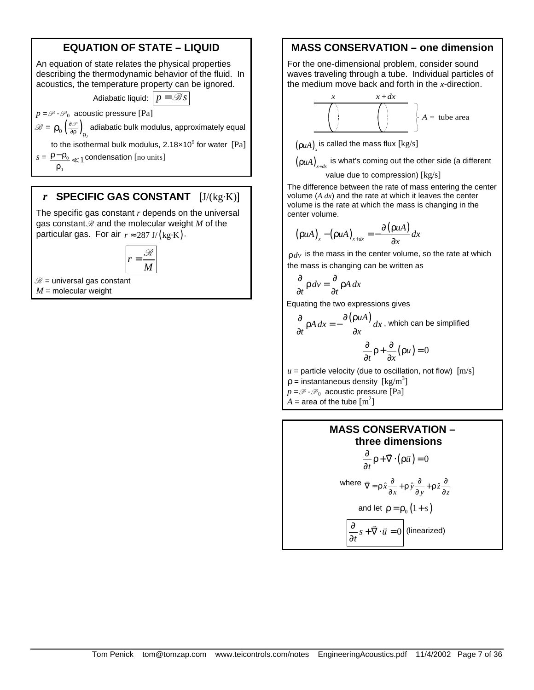# **EQUATION OF STATE – LIQUID**

An equation of state relates the physical properties describing the thermodynamic behavior of the fluid. In acoustics, the temperature property can be ignored.

Adiabatic liquid:  $p = \mathcal{B}s$ 

 $p = \mathcal{P} \cdot \mathcal{P}_0$  acoustic pressure [Pa]

 $\mathscr{B} = \rho_0 \left( \frac{\partial \mathscr{P}}{\partial \rho} \right)_{\rho_0}$ ∂  $\rho_{0}\big(\frac{\partial \mathscr{P}}{\partial \rho}\big)_{\rho_{0}}$  adiabatic bulk modulus, approximately equal

to the isothermal bulk modulus, 2.18 $\times$ 10 $^9$  for water [Pa]

 $s = \frac{\rho - \rho_0}{\rho} \ll 1$  condensation [no units]  $\rho_{0}$ 

## *r* **SPECIFIC GAS CONSTANT** [J/(kg·K)]

The specific gas constant *r* depends on the universal gas constant  $\mathcal R$  and the molecular weight  $M$  of the particular gas. For air  $r \approx 287 \text{ J/(kg·K)}$ .





*M* = molecular weight

## **MASS CONSERVATION – one dimension**

For the one-dimensional problem, consider sound waves traveling through a tube. Individual particles of the medium move back and forth in the *x*-direction.

$$
x + dx
$$
\n
$$
A = \text{tube area}
$$

 $(\rho uA)_x^{\text{}}$  is called the mass flux  $\text{[kg/s]}$ 

 $(\rho uA)_{x+dx}$  is what's coming out the other side (a different

#### value due to compression) [kg/s]

The difference between the rate of mass entering the center volume (*A dx*) and the rate at which it leaves the center volume is the rate at which the mass is changing in the center volume.

$$
(\rho u A)_x - (\rho u A)_{x+dx} = -\frac{\partial (\rho u A)}{\partial x} dx
$$

 $\rho$  *dv* is the mass in the center volume, so the rate at which the mass is changing can be written as

$$
\frac{\partial}{\partial t} \rho \, dv = \frac{\partial}{\partial t} \rho A \, dx
$$

Equating the two expressions gives

$$
\frac{\partial}{\partial t} \rho A \, dx = -\frac{\partial (\rho u A)}{\partial x} dx
$$
, which can be simplified  

$$
\frac{\partial}{\partial t} \rho + \frac{\partial}{\partial x} (\rho u) = 0
$$

 $u =$  particle velocity (due to oscillation, not flow)  $[m/s]$ 

 $\rho$  = instantaneous density  $\text{[kg/m}^3\text{]}$ 

 $p = \mathscr{P} \cdot \mathscr{P}_0$  acoustic pressure [Pa]

 $A =$  area of the tube  $[m^2]$ 

#### **MASS CONSERVATION – three dimensions**  $\frac{1}{t} \rho + \overline{\nabla} \cdot (\rho \overline{u}) = 0$  $\frac{\partial}{\partial \rho}$   $\rho$  +  $\overline{\nabla} \cdot (\rho \overline{u}) =$ ∂  $\vec{\nabla}$  . Lo $\vec{u}$

where 
$$
\overline{\nabla} = \rho \hat{x} \frac{\partial}{\partial x} + \rho \hat{y} \frac{\partial}{\partial y} + \rho \hat{z} \frac{\partial}{\partial z}
$$

and let 
$$
\rho = \rho_0 (1+s)
$$

$$
\frac{\partial}{\partial t} s + \vec{\nabla} \cdot \vec{u} = 0
$$
 (linearized)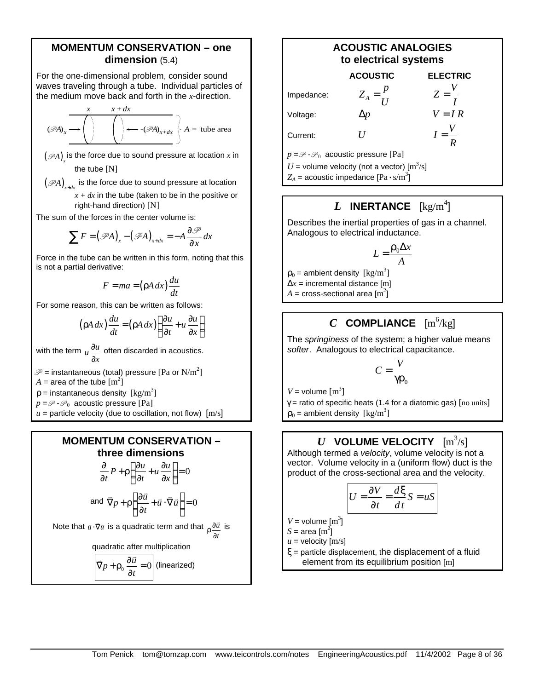## **MOMENTUM CONSERVATION – one dimension** (5.4)

For the one-dimensional problem, consider sound waves traveling through a tube. Individual particles of the medium move back and forth in the *x*-direction.

$$
(\mathscr{P}A)_x \longrightarrow \left( \begin{array}{c} x \\ y \end{array} \right) \left( \begin{array}{c} x + dx \\ y \end{array} \right) \longleftarrow -(\mathscr{P}A)_{x+dx} \left\{ A = \text{tube area} \right\}
$$

 $(\mathscr{P}\!A)_{\boldsymbol{\mathcal{X}}}$  is the force due to sound pressure at location  $\boldsymbol{\mathcal{X}}$  in the tube [N]

 $\left( \mathscr{P} A \right)_{x + dx}$  is the force due to sound pressure at location

 $x + dx$  in the tube (taken to be in the positive or right-hand direction) [N]

The sum of the forces in the center volume is:

$$
\sum F = (\mathscr{P}A)_x - (\mathscr{P}A)_{x+dx} = -A \frac{\partial \mathscr{P}}{\partial x} dx
$$

Force in the tube can be written in this form, noting that this is not a partial derivative:

$$
F = ma = (\rho A \, dx) \frac{du}{dt}
$$

For some reason, this can be written as follows:

$$
\left(\rho A \, dx\right) \frac{du}{dt} = \left(\rho A \, dx\right) \left(\frac{\partial u}{\partial t} + u \, \frac{\partial u}{\partial x}\right)
$$

with the term  $u \frac{\partial u}{\partial x}$ ∂ ∂ often discarded in acoustics.

 $\mathscr{P}$  = instantaneous (total) pressure [P $\text{a}$  or  $\text{N/m}^2\text{]}$ 

 $A =$  area of the tube  $\text{[m}^2\text{]}$ 

 $\rho$  = instantaneous density  $\text{[kg/m}^3\text{]}$ 

 $p = \mathscr{P} \cdot \mathscr{P}_0$  acoustic pressure [Pa]

 $u =$  particle velocity (due to oscillation, not flow)  $[m/s]$ 

# **MOMENTUM CONSERVATION – three dimensions**

$$
\frac{\partial}{\partial t}P + \rho \left( \frac{\partial u}{\partial t} + u \frac{\partial u}{\partial x} \right) = 0
$$
\nand  $\nabla p + \rho \left( \frac{\partial \vec{u}}{\partial t} + \vec{u} \cdot \nabla \vec{u} \right) = 0$ 

Note that  $\vec{u} \cdot \vec{\nabla} \vec{u}$  is a quadratic term and that  $\frac{\partial \vec{u}}{\partial u}$ *t*  $ρ\frac{δ}{δ}$  $\vec{u}$  is

quadratic after multiplication

$$
\overrightarrow{\nabla}p + \rho_0 \frac{\partial \vec{u}}{\partial t} = 0
$$
 (linearized)

## **ACOUSTIC ANALOGIES to electrical systems**

|                                                                                                        | <b>ACOUSTIC</b>     | <b>ELECTRIC</b> |  |  |
|--------------------------------------------------------------------------------------------------------|---------------------|-----------------|--|--|
| Impedance:                                                                                             | $Z_A = \frac{p}{H}$ | $Z=\frac{V}{I}$ |  |  |
| Voltage:                                                                                               | Nn                  | $V = IR$        |  |  |
| Current:                                                                                               | H                   | $I=\frac{V}{I}$ |  |  |
| $p = \mathcal{P} - \mathcal{P}_0$ acoustic pressure [Pa]                                               |                     |                 |  |  |
| U = volume velocity (not a vector) $\mathrm{[m^3/s]}$<br>$Z_A$ = acoustic impedance $[Pa \cdot s/m^3]$ |                     |                 |  |  |

# $L$  **INERTANCE** [kg/m<sup>4</sup>]

Describes the inertial properties of gas in a channel. Analogous to electrical inductance.

$$
L = \frac{\rho_0 \Delta x}{A}
$$

 $\rho_0$  = ambient density  $\rm [kg/m^3]$  $\Delta x$  = incremental distance [m]  $A = \mathrm{cross\text{-}sectional}$  area  $\mathrm{[m^2]}$ 

# $C$  **COMPLIANCE**  $[m^6/kg]$

The *springiness* of the system; a higher value means *softer*. Analogous to electrical capacitance.

$$
C = \frac{V}{\gamma \rho_0}
$$

 $V =$  volume  $\text{[m}^3\text{]}$ 

 $\gamma$  = ratio of specific heats (1.4 for a diatomic gas) [no units]  $\rho_0$  = ambient density  $\rm [kg/m^3]$ 

## $\boldsymbol{U}$  volume velocity  $\left[\text{m}^3\text{/s}\right]$

Although termed a *velocity*, volume velocity is not a vector. Volume velocity in a (uniform flow) duct is the product of the cross-sectional area and the velocity.

$$
U = \frac{\partial V}{\partial t} = \frac{d\xi}{dt}S = uS
$$

 $V =$  volume  $\text{[m}^3\text{]}$ 

$$
S = \text{area [m}^2]
$$

 $u =$  velocity  $[m/s]$ 

 $\xi$  = particle displacement, the displacement of a fluid element from its equilibrium position [m]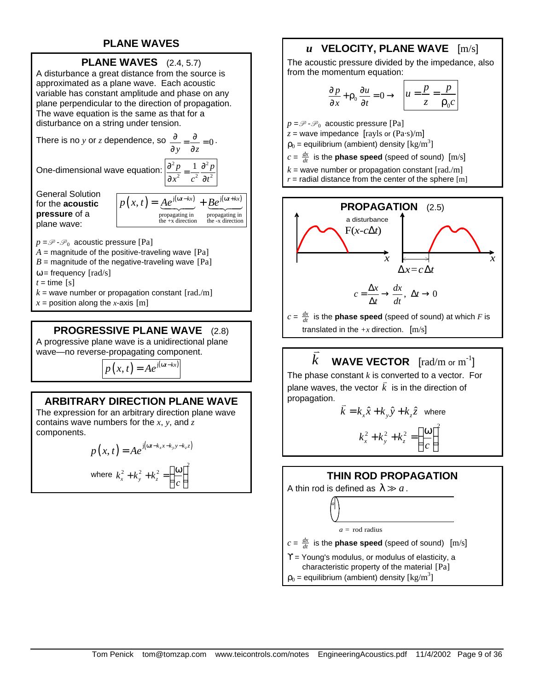## **PLANE WAVES**



A disturbance a great distance from the source is approximated as a plane wave. Each acoustic variable has constant amplitude and phase on any plane perpendicular to the direction of propagation. The wave equation is the same as that for a disturbance on a string under tension.

There is no *y* or *z* dependence, so  $\frac{\partial}{\partial y} = \frac{\partial}{\partial z} = 0$  $\frac{\partial}{\partial y} = \frac{\partial}{\partial z} =$ 

One-dimensional wave equation:  $\frac{\partial^2 p}{\partial x^2} = \frac{1}{2} \frac{\partial^2 p}{\partial y^2}$ 

$$
\frac{\partial}{\partial y} = \frac{\partial}{\partial z} = 0.
$$

$$
\frac{\partial^2 p}{\partial x^2} = \frac{1}{c^2} \frac{\partial^2 p}{\partial t^2}
$$

General Solution for the **acoustic pressure** of a plane wave:



 $p = \mathscr{P}$  -  $\mathscr{P}_0$  acoustic pressure [Pa]

- $A =$  magnitude of the positive-traveling wave  $[Pa]$
- $B =$  magnitude of the negative-traveling wave  $[Pa]$
- $\omega$  = frequency [rad/s]
- $t =$  time  $[s]$
- $k =$  wave number or propagation constant  $\lceil \text{rad./m} \rceil$
- $x =$  position along the *x*-axis [m]

## **PROGRESSIVE PLANE WAVE** (2.8)

A progressive plane wave is a unidirectional plane wave—no reverse-propagating component.

$$
p(x,t) = Ae^{j(\omega t - kx)}
$$

## **ARBITRARY DIRECTION PLANE WAVE**

The expression for an arbitrary direction plane wave contains wave numbers for the *x*, *y*, and *z* components.

$$
p(x,t) = Ae^{j(\omega t - k_x x - k_y y - k_z z)}
$$

2

where 
$$
k_x^2 + k_y^2 + k_z^2 = \left(\frac{\omega}{c}\right)^2
$$

# *u* **VELOCITY, PLANE WAVE** [m/s]

The acoustic pressure divided by the impedance, also from the momentum equation:

$$
\frac{\partial p}{\partial x} + \rho_0 \frac{\partial u}{\partial t} = 0 \rightarrow \left[ u = \frac{p}{z} = \frac{p}{\rho_0 c} \right]
$$

 $p = \mathcal{P} \cdot \mathcal{P}_0$  acoustic pressure [Pa]

- $z =$  wave impedance  $[rayls or (Pa·s)/m]$
- $\rho_0$  = equilibrium (ambient) density  $\rm [kg/m^3]$
- $c = \frac{dx}{dt}$  is the **phase speed** (speed of sound)  $[m/s]$
- $k =$  wave number or propagation constant  $\lceil rad/m \rceil$
- $r =$  radial distance from the center of the sphere  $[m]$



*c* =  $\frac{dx}{dt}$  is the **phase speed** (speed of sound) at which  $F$  is translated in the  $+x$  direction.  $[m/s]$ 

#### *k*  $\frac{1}{\sqrt{2}}$ **WAVE VECTOR**  $[\text{rad/m or m}^{-1}]$

The phase constant *k* is converted to a vector. For plane waves, the vector  $\vec{k}$  is in the direction of propagation.

$$
\vec{k} = k_x \hat{x} + k_y \hat{y} + k_z \hat{z}
$$
 where

$$
k_x^2 + k_y^2 + k_z^2 = \left(\frac{\omega}{c}\right)^2
$$

## **THIN ROD PROPAGATION**

A thin rod is defined as  $\lambda \gg a$ .

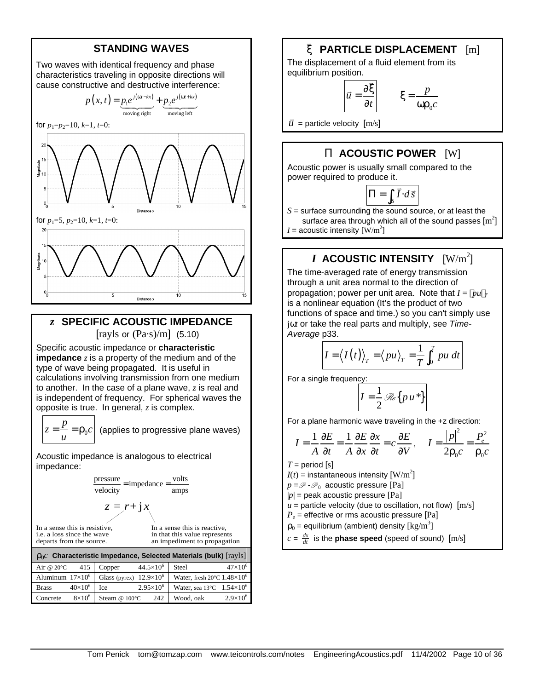## **STANDING WAVES**

Two waves with identical frequency and phase characteristics traveling in opposite directions will cause constructive and destructive interference:



## *z* **SPECIFIC ACOUSTIC IMPEDANCE** [rayls or  $(Pa·s)/m$ ] (5.10)

Specific acoustic impedance or **characteristic impedance** *z* is a property of the medium and of the type of wave being propagated. It is useful in calculations involving transmission from one medium to another. In the case of a plane wave, *z* is real and is independent of frequency. For spherical waves the opposite is true. In general, *z* is complex.

$$
z = \frac{p}{u} = \rho_0 c
$$

(applies to progressive plane waves)

Acoustic impedance is analogous to electrical impedance:

$$
\frac{\text{pressure}}{\text{velocity}} = \text{impedance} = \frac{\text{volts}}{\text{amps}}
$$

$$
z = r + jx
$$

In a sense this is resistive, i.e. a loss since the wave departs from the source.

In a sense this is reactive, in that this value represents an impediment to propagation.

| $\rho_0 c$ Characteristic Impedance, Selected Materials (bulk) [rayls] |                  |                                  |                    |                                                           |                   |
|------------------------------------------------------------------------|------------------|----------------------------------|--------------------|-----------------------------------------------------------|-------------------|
| Air @ $20^{\circ}$ C 415                                               |                  | Copper                           | $44.5\times10^{6}$ | Steel                                                     | $47\times10^{6}$  |
| Aluminum $17\times10^6$                                                |                  | Glass (pyrex) $12.9 \times 10^6$ |                    | Water, fresh $20^{\circ}$ C 1.48 $\times$ 10 <sup>6</sup> |                   |
| <b>Brass</b>                                                           | $40\times10^{6}$ | Ice                              | $2.95\times10^{6}$ | Water, sea $13^{\circ}$ C $1.54 \times 10^6$              |                   |
| Concrete                                                               | $8\times10^6$    | Steam @ $100^{\circ}$ C          | 242                | Wood, oak                                                 | $2.9\times10^{6}$ |

#### ξ v  **PARTICLE DISPLACEMENT** [m]

The displacement of a fluid element from its equilibrium position.

$$
=\frac{\partial \vec{\xi}}{\partial t}\qquad \xi =
$$

 $\vec{u}$  = particle velocity  $[m/s]$ 

 $\vec{u}$ 

## **P ACOUSTIC POWER** [W]

 $\mathbf{0}$ 

*p c*

ωρ

Acoustic power is usually small compared to the power required to produce it.

$$
\Pi = \int_{S} \vec{I} \cdot d\vec{s}
$$

*S* = surface surrounding the sound source, or at least the surface area through which all of the sound passes  $\mathrm{[m^{2}]}$ 

*I* = acoustic intensity  $\rm [W/m^2]$ 

# $\boldsymbol{I}$  <code>ACOUSTIC</code> INTENSITY  $\rm{[W/m^2]}$

The time-averaged rate of energy transmission through a unit area normal to the direction of propagation; power per unit area. Note that  $I = \langle pu \rangle_T$ is a nonlinear equation (It's the product of two functions of space and time.) so you can't simply use jω*t* or take the real parts and multiply, see *Time-Average* p33.

$$
I = \langle I(t) \rangle_T = \langle pu \rangle_T = \frac{1}{T} \int_0^T pu \ dt
$$

For a single frequency:

$$
I=\frac{1}{2}\mathcal{R}\{pu^*\}
$$

For a plane harmonic wave traveling in the +z direction:

$$
I = \frac{1}{A} \frac{\partial E}{\partial t} = \frac{1}{A} \frac{\partial E}{\partial x} \frac{\partial x}{\partial t} = c \frac{\partial E}{\partial V}, \quad I = \frac{|p|^2}{2\rho_0 c} = \frac{P_e^2}{\rho_0 c}
$$

 $T =$  period  $[s]$ 

 $I(t)$  = instantaneous intensity  $\text{[W/m}^2\text{]}$ 

 $p = \mathscr{P} \cdot \mathscr{P}_0$  acoustic pressure [Pa]

 $|p|$  = peak acoustic pressure  $[Pa]$ 

 $u =$  particle velocity (due to oscillation, not flow)  $[m/s]$ 

*Pe* = effective or rms acoustic pressure [Pa]  $\rho_0$  = equilibrium (ambient) density [kg/m<sup>3</sup>]

 $c = \frac{dx}{dt}$  is the **phase speed** (speed of sound)  $[m/s]$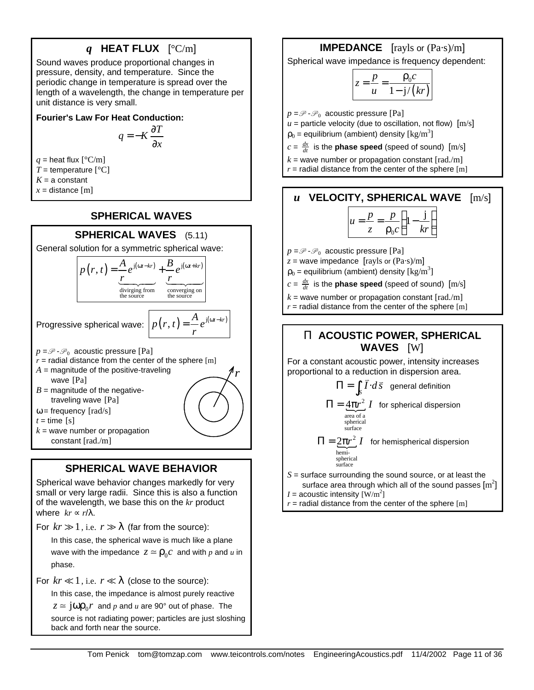# *q* **HEAT FLUX** [°C/m]

Sound waves produce proportional changes in pressure, density, and temperature. Since the periodic change in temperature is spread over the length of a wavelength, the change in temperature per unit distance is very small.

## **Fourier's Law For Heat Conduction:**

$$
q = -K \frac{\partial T}{\partial x}
$$

*q* = heat flux  $[^{\circ}C/m]$  $T =$  temperature  $[°C]$  $K = a$  constant  $x =$  distance [m]

# **SPHERICAL WAVES**

## **SPHERICAL WAVES** (5.11)

General solution for a symmetric spherical wave:



 $t =$  time [s]

 $k =$  wave number or propagation constant [rad./m]

# **SPHERICAL WAVE BEHAVIOR**

Spherical wave behavior changes markedly for very small or very large radii. Since this is also a function of the wavelength, we base this on the *kr* product where  $kr \propto r/\lambda$ .

For  $kr \gg 1$ , i.e.  $r \gg \lambda$  (far from the source):

In this case, the spherical wave is much like a plane wave with the impedance  $z \approx \rho_0 c$  and with  $p$  and  $u$  in phase.

For  $kr \ll 1$ , i.e.  $r \ll \lambda$  (close to the source):

In this case, the impedance is almost purely reactive

 $z \approx \text{j} \omega \rho_0 r$  and  $p$  and  $u$  are 90° out of phase. The

source is not radiating power; particles are just sloshing back and forth near the source.

# **IMPEDANCE** [rayls or (Pa·s)/m]

Spherical wave impedance is frequency dependent:

$$
z = \frac{p}{u} = \frac{\rho_0 c}{1 - \mathrm{j}/(kr)}
$$

 $p = \mathcal{P} \cdot \mathcal{P}_0$  acoustic pressure [Pa]

 $u =$  particle velocity (due to oscillation, not flow)  $[m/s]$  $\rho_0$  = equilibrium (ambient) density  $\rm [kg/m^3]$ 

 $c = \frac{dx}{dt}$  is the **phase speed** (speed of sound)  $[m/s]$ 

 $k =$  wave number or propagation constant  $\lceil \text{rad/m} \rceil$ 

 $r =$  radial distance from the center of the sphere  $[m]$ 

# *u* **VELOCITY, SPHERICAL WAVE** [m/s]

$$
u = \frac{p}{z} = \frac{p}{\rho_0 c} \left( 1 - \frac{\mathbf{j}}{kr} \right)
$$

 $p = \mathscr{P} \cdot \mathscr{P}_0$  acoustic pressure [Pa]

 $z =$  wave impedance  $\left[\frac{\text{ray}}{\text{s}} \text{ or } \frac{\text{ray}}{\text{s}}\right]$ 

 $\rho_0$  = equilibrium (ambient) density [kg/m<sup>3</sup>]

 $c = \frac{dx}{dt}$  is the **phase speed** (speed of sound)  $[m/s]$ 

 $k =$  wave number or propagation constant  $\lceil \text{rad./m} \rceil$  $r =$  radial distance from the center of the sphere  $[m]$ 

# **P ACOUSTIC POWER, SPHERICAL WAVES** [W]

For a constant acoustic power, intensity increases proportional to a reduction in dispersion area.<br>  $\Pi = \int \vec{L} d\vec{s}$  appeal definition

$$
\Pi = \int_{S} \vec{I} \cdot d\vec{s}
$$
 general definition

$$
\Pi = \underbrace{4\pi r^2}_{\substack{\text{area of a} \\ \text{spherical} \\ \text{surface}}} I
$$
 for spherical dispersion

 $\Pi = 2\pi r^2 I$  for hemispherical dispersion hemispherical surface

*S* = surface surrounding the sound source, or at least the surface area through which all of the sound passes  $\left[\mathrm{m}^2\right]$ 

*I* = acoustic intensity  $\text{[W/m}^2\text{]}$ 

 $r =$  radial distance from the center of the sphere  $[m]$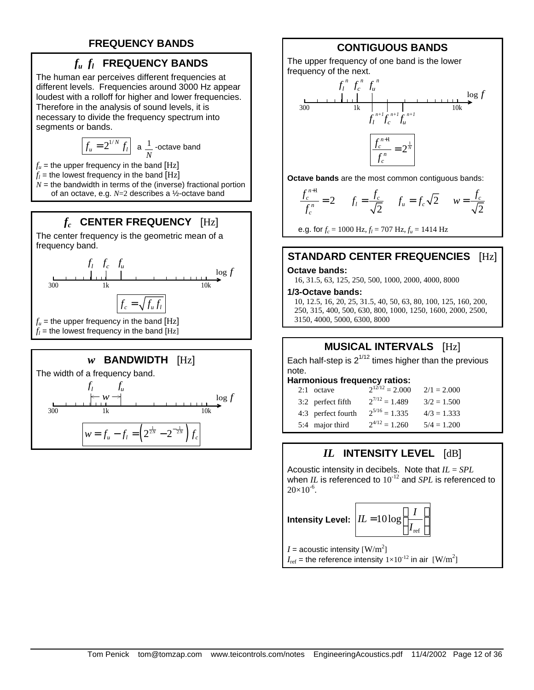# **FREQUENCY BANDS**

# *fu f<sup>l</sup>*  **FREQUENCY BANDS**

The human ear perceives different frequencies at different levels. Frequencies around 3000 Hz appear loudest with a rolloff for higher and lower frequencies. Therefore in the analysis of sound levels, it is necessary to divide the frequency spectrum into segments or bands.

$$
\boxed{f_u = 2^{1/N} f_l}
$$
 a  $\frac{1}{N}$  -octave band

 $f<sub>u</sub>$  = the upper frequency in the band [Hz]

 $f_l$  = the lowest frequency in the band  $\left[ \mathrm{Hz} \right]$ 

 $N =$  the bandwidth in terms of the (inverse) fractional portion of an octave, e.g. *N*=2 describes a ½-octave band

# *fc*  **CENTER FREQUENCY** [Hz]

The center frequency is the geometric mean of a frequency band.



## *w* **BANDWIDTH** [Hz]

The width of a frequency band.



# **CONTIGUOUS BANDS**

The upper frequency of one band is the lower frequency of the next.



**Octave bands** are the most common contiguous bands:

$$
\frac{f_c^{n+1}}{f_c^n} = 2 \qquad f_l = \frac{f_c}{\sqrt{2}} \qquad f_u = f_c \sqrt{2} \qquad w = \frac{f_c}{\sqrt{2}}
$$

e.g. for  $f_c = 1000 \text{ Hz}, f_l = 707 \text{ Hz}, f_u = 1414 \text{ Hz}$ 

# **STANDARD CENTER FREQUENCIES** [Hz]

#### **Octave bands:**

16, 31.5, 63, 125, 250, 500, 1000, 2000, 4000, 8000

#### **1/3-Octave bands:**

10, 12.5, 16, 20, 25, 31.5, 40, 50, 63, 80, 100, 125, 160, 200, 250, 315, 400, 500, 630, 800, 1000, 1250, 1600, 2000, 2500, 3150, 4000, 5000, 6300, 8000

# **MUSICAL INTERVALS** [Hz]

Each half-step is  $2^{1/12}$  times higher than the previous note.

#### **Harmonious frequency ratios:**

| $2:1$ octave       | $2^{12/12} = 2.000$ | $2/1 = 2.000$ |
|--------------------|---------------------|---------------|
| 3:2 perfect fifth  | $2^{7/12} = 1.489$  | $3/2 = 1.500$ |
| 4:3 perfect fourth | $2^{5/16} = 1.335$  | $4/3 = 1.333$ |
| 5:4 major third    | $2^{4/12} = 1.260$  | $5/4 = 1.200$ |

# *IL* **INTENSITY LEVEL** [dB]

Acoustic intensity in decibels. Note that *IL* = *SPL* when *IL* is referenced to  $10^{-12}$  and *SPL* is referenced to  $20\times10^{-6}$ .

Intensity Level:  $\left| I L\! =\! 10 \log \biggl(\frac{I}{I_{\textrm{ref}}}\biggr) \right|$ 

$$
0 \log \left( \frac{I}{I_{\text{ref}}} \right)
$$

*I* = acoustic intensity  $\rm [W/m^2]$ 

 $I_{\text{ref}}$  = the reference intensity  $1\times10^{-12}$  in air  $\,[\text{W/m}^2]$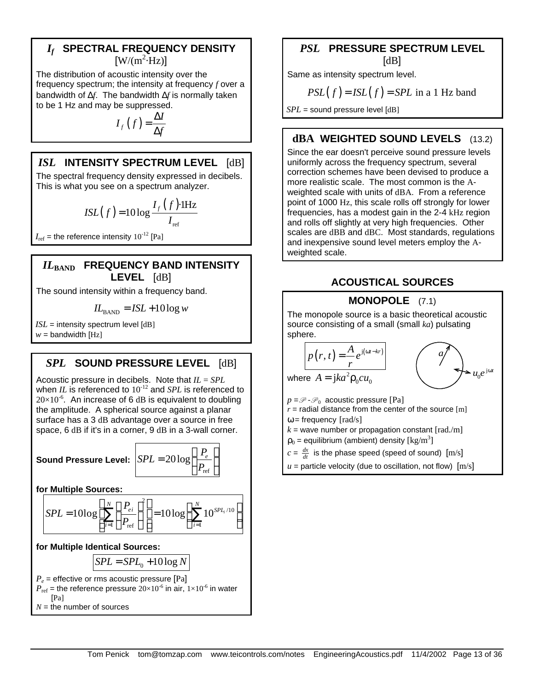## *If*  **SPECTRAL FREQUENCY DENSITY**  $[W/(m^2 \cdot Hz)]$

The distribution of acoustic intensity over the frequency spectrum; the intensity at frequency *f* over a bandwidth of Δ*f*. The bandwidth Δ*f* is normally taken to be 1 Hz and may be suppressed.

$$
I_f(f) = \frac{\Delta I}{\Delta f}
$$

# *ISL* **INTENSITY SPECTRUM LEVEL** [dB]

The spectral frequency density expressed in decibels. This is what you see on a spectrum analyzer.

$$
ISL(f) = 10 \log \frac{I_f(f) \cdot \text{IHz}}{I_{\text{ref}}}
$$

 $I_{ref}$  = the reference intensity  $10^{-12}$  [Pa]

## *IL***BAND FREQUENCY BAND INTENSITY LEVEL** [dB]

The sound intensity within a frequency band.

$$
IL_{\text{BAND}} = ISL + 10 \log w
$$

 $ISL =$  intensity spectrum level  $[dB]$  $w =$  bandwidth [Hz]

# *SPL* **SOUND PRESSURE LEVEL** [dB]

Acoustic pressure in decibels. Note that *IL* = *SPL* when *IL* is referenced to  $10^{-12}$  and *SPL* is referenced to  $20\times10^{-6}$ . An increase of 6 dB is equivalent to doubling the amplitude. A spherical source against a planar surface has a 3 dB advantage over a source in free space, 6 dB if it's in a corner, 9 dB in a 3-wall corner.

**Sound Pressure Le** 

$$
\text{evel: } \left| SPL = 20 \log \left( \frac{P_e}{P_{\text{ref}}} \right) \right|
$$

**for Multiple Sources:**

$$
SPL = 10\log \left[ \sum_{i=1}^{N} \left( \frac{P_{ei}}{P_{\text{ref}}} \right)^2 \right] = 10\log \left( \sum_{i=1}^{N} 10^{SPL_i/10} \right)
$$

## **for Multiple Identical Sources:**

$$
SPL = SPL_0 + 10\log N
$$

$$
P_e
$$
 = effective or rms acoustic pressure [Pa]  
\n $P_{ref}$  = the reference pressure 20×10<sup>-6</sup> in air, 1×10<sup>-6</sup> in water  
\n[Pa]  
\n $N$  = the number of sources

# *PSL* **PRESSURE SPECTRUM LEVEL** [dB]

Same as intensity spectrum level.

$$
PSL(f) = ISL(f) = SPIL \text{ in a 1 Hz band}
$$

*SPL* = sound pressure level [dB]

# **dBA WEIGHTED SOUND LEVELS** (13.2)

Since the ear doesn't perceive sound pressure levels uniformly across the frequency spectrum, several correction schemes have been devised to produce a more realistic scale. The most common is the Aweighted scale with units of dBA. From a reference point of 1000 Hz, this scale rolls off strongly for lower frequencies, has a modest gain in the 2-4 kHz region and rolls off slightly at very high frequencies. Other scales are dBB and dBC. Most standards, regulations and inexpensive sound level meters employ the Aweighted scale.

# **ACOUSTICAL SOURCES**

# **MONOPOLE** (7.1)

The monopole source is a basic theoretical acoustic source consisting of a small (small *ka*) pulsating sphere.

where 
$$
A = jka^2 \rho_0 cu_0
$$
  
  

$$
u_0 e^{j\omega t}
$$

 $p = \mathcal{P} \cdot \mathcal{P}_0$  acoustic pressure [Pa]  $r =$  radial distance from the center of the source  $[m]$ 

 $\omega$  = frequency [rad/s]

 $k =$  wave number or propagation constant  $\lceil \text{rad./m} \rceil$ 

 $\rho_0$  = equilibrium (ambient) density [kg/m<sup>3</sup>]

 $c = \frac{dx}{dt}$  is the phase speed (speed of sound)  $[m/s]$ 

 $u =$  particle velocity (due to oscillation, not flow)  $[m/s]$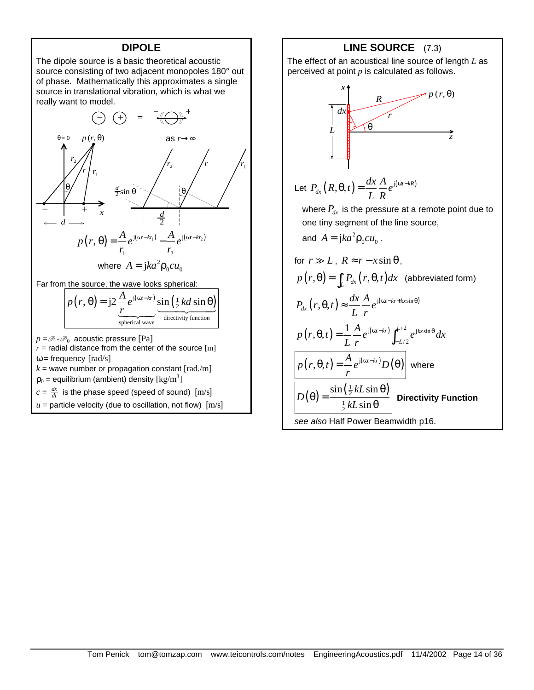## **DIPOLE**



 $\rho_0$  = equilibrium (ambient) density [kg/m<sup>3</sup>]

 $c = \frac{dx}{dt}$  is the phase speed (speed of sound)  $[m/s]$ 

 $u =$  particle velocity (due to oscillation, not flow)  $[m/s]$ 

**LINE SOURCE** (7.3)

The effect of an acoustical line source of length *L* as perceived at point *p* is calculated as follows.



Let 
$$
P_{dx}(R, \theta, t) = \frac{dx}{L} \frac{A}{R} e^{j(\omega t - kR)}
$$

where  $P_{dx}$  is the pressure at a remote point due to one tiny segment of the line source,

and  $A = jka^2 \rho_0 c u_0$ .

for 
$$
r \gg L
$$
,  $R \approx r - x \sin \theta$ ,  
\n
$$
p(r, \theta) = \int_L P_{dx}(r, \theta, t) dx
$$
 (abbreviated form)  
\n
$$
P_{dx}(r, \theta, t) \approx \frac{dx}{L} \frac{A}{r} e^{j(\omega t - kr + kx \sin \theta)}
$$
\n
$$
p(r, \theta, t) = \frac{1}{L} \frac{A}{r} e^{j(\omega t - kr)} \int_{-L/2}^{L/2} e^{jkx \sin \theta} dx
$$
\n
$$
p(r, \theta, t) = \frac{A}{r} e^{j(\omega t - kr)} D(\theta)
$$
where  
\n
$$
D(\theta) = \frac{\sin(\frac{1}{2}kL \sin \theta)}{\frac{1}{2}kL \sin \theta}
$$
 **Directivity Function**  
\nsee also Half Power Beamwidth p16.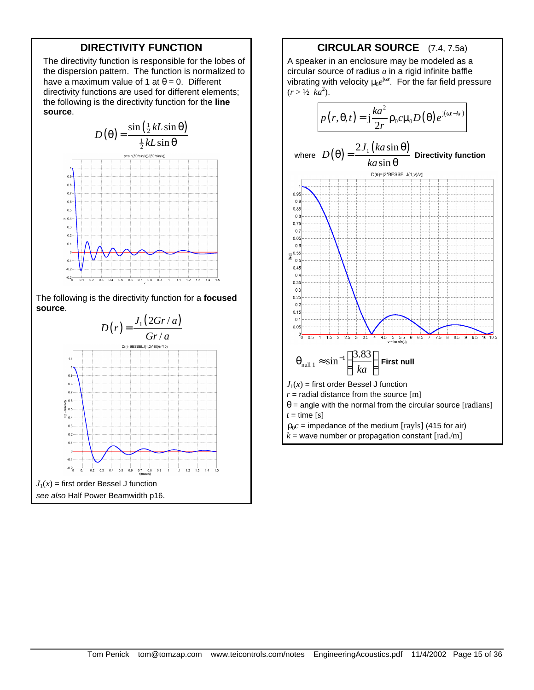## **DIRECTIVITY FUNCTION**

The directivity function is responsible for the lobes of the dispersion pattern. The function is normalized to have a maximum value of 1 at  $\theta = 0$ . Different directivity functions are used for different elements; the following is the directivity function for the **line source**.



The following is the directivity function for a **focused source**.



## **CIRCULAR SOURCE** (7.4, 7.5a)

A speaker in an enclosure may be modeled as a circular source of radius *a* in a rigid infinite baffle vibrating with velocity μ<sub>0</sub>e<sup>jω*t*</sup>. For the far field pressure  $(r > \frac{1}{2}$   $k a^2$ ).

$$
p(r, \theta, t) = j \frac{k a^2}{2r} \rho_0 c \mu_0 D(\theta) e^{j(\omega t - kr)}
$$

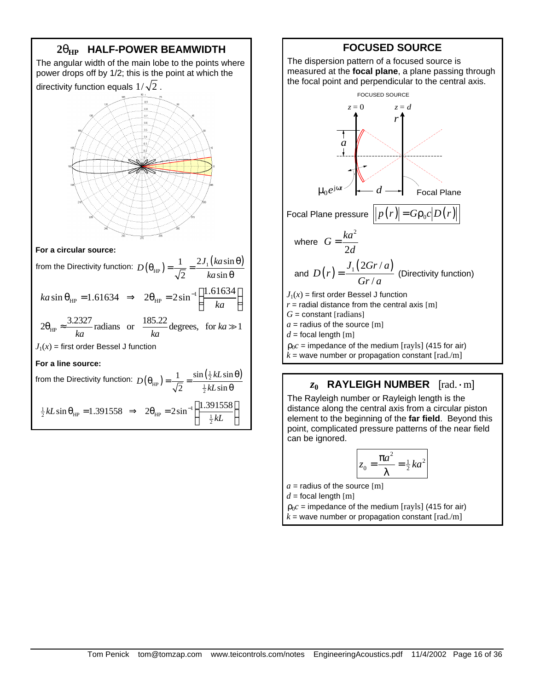

## **FOCUSED SOURCE**

The dispersion pattern of a focused source is measured at the **focal plane**, a plane passing through the focal point and perpendicular to the central axis.



# *z***0 RAYLEIGH NUMBER** [rad.·m]

The Rayleigh number or Rayleigh length is the distance along the central axis from a circular piston element to the beginning of the **far field**. Beyond this point, complicated pressure patterns of the near field can be ignored.

$$
z_0 = \frac{\pi a^2}{\lambda} = \frac{1}{2}ka^2
$$

 $a =$  radius of the source [m]

 $d =$  focal length [m]

 $\rho_0 c$  = impedance of the medium [rayls] (415 for air)  $k =$  wave number or propagation constant  $\text{[rad./m]}$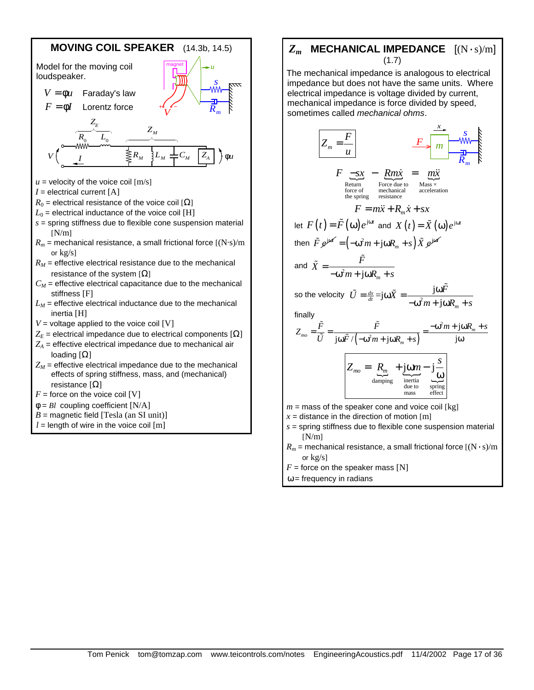

## *Zm* **MECHANICAL IMPEDANCE** [(N·s)/m] (1.7)

The mechanical impedance is analogous to electrical impedance but does not have the same units. Where electrical impedance is voltage divided by current, mechanical impedance is force divided by speed, sometimes called *mechanical ohms*.



- $R_m$  = mechanical resistance, a small frictional force  $[(N \cdot s)/m]$ or kg/s]
- $F =$  force on the speaker mass [N]

 $\omega$  = frequency in radians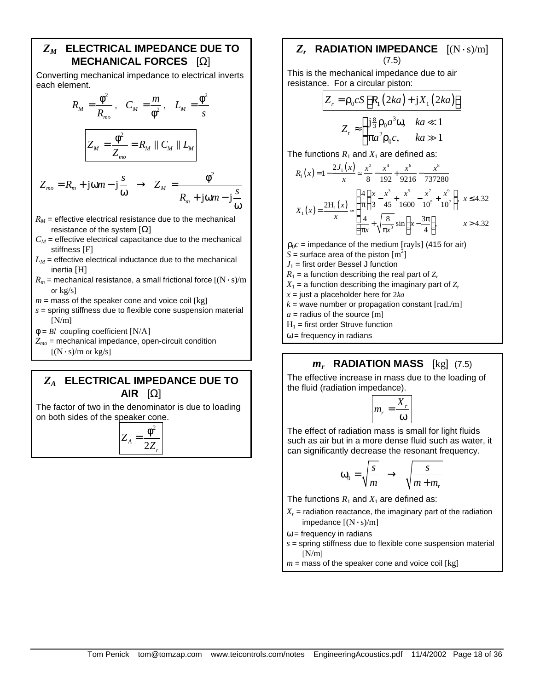## *ZM* **ELECTRICAL IMPEDANCE DUE TO MECHANICAL FORCES** [Ω]

Converting mechanical impedance to electrical inverts each element.

$$
R_M = \frac{\phi^2}{R_{mo}}, \quad C_M = \frac{m}{\phi^2}, \quad L_M = \frac{\phi^2}{s}
$$

$$
Z_M = \frac{\phi^2}{Z_{mo}} = R_M \parallel C_M \parallel L_M
$$

$$
Z_{mo} = R_m + j\omega m - j\frac{s}{\omega} \rightarrow Z_M = \frac{\phi^2}{R_m + j\omega m - j\frac{s}{\omega}}
$$

- $R_M$  = effective electrical resistance due to the mechanical resistance of the system  $[Ω]$
- $C_M$  = effective electrical capacitance due to the mechanical stiffness [F]
- $L_M$  = effective electrical inductance due to the mechanical inertia [H]
- $R_m$  = mechanical resistance, a small frictional force  $[(N \cdot s)/m]$ or  $kg/s$ ]
- $m =$  mass of the speaker cone and voice coil [kg]
- *s* = spring stiffness due to flexible cone suspension material  $[N/m]$
- φ = *Bl* coupling coefficient [N/A]
- $Z_{mo}$  = mechanical impedance, open-circuit condition  $[(N \cdot s)/m \text{ or } kg/s]$

## *ZA* **ELECTRICAL IMPEDANCE DUE TO AIR** [Ω]

The factor of two in the denominator is due to loading on both sides of the speaker cone.

$$
Z_A = \frac{\phi^2}{2Z_r}
$$

## *Zr*  **RADIATION IMPEDANCE** [(N·s)/m] (7.5)

This is the mechanical impedance due to air resistance. For a circular piston:

$$
Z_r = \rho_0 c S \left[ R_1 (2ka) + jX_1 (2ka) \right]
$$
  

$$
Z_r \approx \begin{cases} j\frac{8}{3} \rho_0 a^3 \omega, & ka \ll 1 \\ \pi a^2 \rho_0 c, & ka \gg 1 \end{cases}
$$

The functions  $R_1$  and  $X_1$  are defined as:

$$
R_1(x) = 1 - \frac{2J_1(x)}{x} \approx \frac{x^2}{8} - \frac{x^4}{192} + \frac{x^6}{9216} - \frac{x^8}{737280}
$$

$$
X_1(x) = \frac{2H_1(x)}{x} \approx \begin{cases} \frac{4}{\pi} \left( \frac{x}{3} - \frac{x^3}{45} + \frac{x^5}{1600} - \frac{x^7}{10^5} + \frac{x^9}{10^7} \right), & x \le 4.32\\ \frac{4}{\pi x} + \sqrt{\frac{8}{\pi x^3}} \sin \left( x - \frac{3\pi}{4} \right), & x > 4.32 \end{cases}
$$

 $\rho_0 c$  = impedance of the medium [rayls] (415 for air)

- $S =$  surface area of the piston  $\mathrm{[m^2]}$  $J_1$  = first order Bessel J function
- 
- $R_1$  = a function describing the real part of  $Z_r$  $X_1$  = a function describing the imaginary part of  $Z_r$
- 
- $x =$  just a placeholder here for  $2ka$
- $k =$  wave number or propagation constant  $\lceil \text{rad./m} \rceil$
- $a =$  radius of the source [m]
- $H_1$  = first order Struve function
- $\omega$  = frequency in radians

# *mr*  **RADIATION MASS** [kg] (7.5)

The effective increase in mass due to the loading of the fluid (radiation impedance).

$$
m_r = \frac{X_r}{\omega}
$$

The effect of radiation mass is small for light fluids such as air but in a more dense fluid such as water, it can significantly decrease the resonant frequency.

$$
\omega_0 = \sqrt{\frac{s}{m}} \quad \rightarrow \quad \sqrt{\frac{s}{m+m_r}}
$$

The functions  $R_1$  and  $X_1$  are defined as:

- $X_r$  = radiation reactance, the imaginary part of the radiation impedance  $[(N \cdot s)/m]$
- $\omega$  = frequency in radians
- $s =$  spring stiffness due to flexible cone suspension material  $[N/m]$
- $m =$  mass of the speaker cone and voice coil [kg]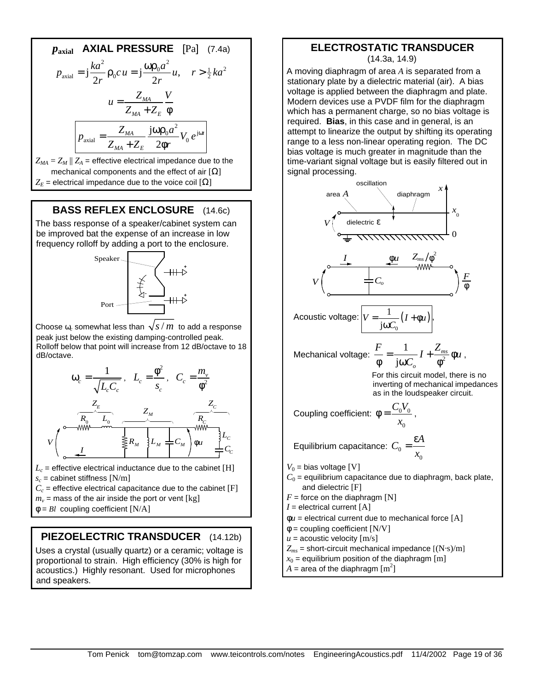*p*<sub>axial</sub> **AXIAL PRESSURE** [Pa] (7.4a)  
\n
$$
p_{axial} = j\frac{ka^2}{2r}ρ_0c u = j\frac{ωρ_0a^2}{2r}u, \quad r > \frac{1}{2}ka^2
$$
\n
$$
u = \frac{Z_{MA}}{Z_{MA} + Z_E} \frac{V}{φ}
$$
\n
$$
p_{axial} = \frac{Z_{MA}}{Z_{MA} + Z_E} \frac{jωρ_0a^2}{2φr}V_0e^{jωr}
$$
\n
$$
= 7 \cdot 17 = \text{offactive electrical impedance due to the}
$$

 $Z_{MA} = Z_M || Z_A =$  effective electrical impedance due to the mechanical components and the effect of air  $[Ω]$  $Z<sub>F</sub>$  = electrical impedance due to the voice coil  $[\Omega]$ 

## **BASS REFLEX ENCLOSURE** (14.6c)

The bass response of a speaker/cabinet system can be improved bat the expense of an increase in low frequency rolloff by adding a port to the enclosure.



Choose  $\omega_c$  somewhat less than  $\sqrt{s/m}$  to add a response peak just below the existing damping-controlled peak. Rolloff below that point will increase from 12 dB/octave to 18 dB/octave.



- $L_c$  = effective electrical inductance due to the cabinet  $[\mathrm{H}]$ *sc* = cabinet stiffness [N/m]
- $C_c$  = effective electrical capacitance due to the cabinet  $[F]$
- $m_{\nu}$  = mass of the air inside the port or vent [kg]
- $\phi = Bl$  coupling coefficient  $[N/A]$

# **PIEZOELECTRIC TRANSDUCER** (14.12b)

Uses a crystal (usually quartz) or a ceramic; voltage is proportional to strain. High efficiency (30% is high for acoustics.) Highly resonant. Used for microphones and speakers.

### **ELECTROSTATIC TRANSDUCER** (14.3a, 14.9)

A moving diaphragm of area *A* is separated from a stationary plate by a dielectric material (air). A bias voltage is applied between the diaphragm and plate. Modern devices use a PVDF film for the diaphragm which has a permanent charge, so no bias voltage is required. **Bias**, in this case and in general, is an attempt to linearize the output by shifting its operating range to a less non-linear operating region. The DC bias voltage is much greater in magnitude than the time-variant signal voltage but is easily filtered out in signal processing.

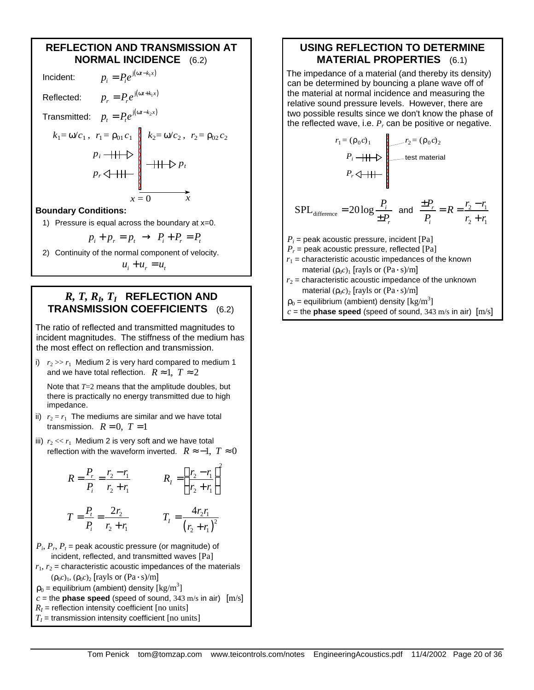## **REFLECTION AND TRANSMISSION AT NORMAL INCIDENCE** (6.2)

 $p_i = P_i e^{j(\omega t - k_i x)}$ Reflected:  $p_r = P_r e^{j(\omega t + k_1 x)}$ Transmitted:  $p_t = P_t e^{j(\omega t - k_2 x)}$  $x = 0$   $\overline{x}$  $k_1 = \omega/c_1$ ,  $r_1 = \rho_{01} c_1$   $k_2 = \omega/c_2$ ,  $r_2 = \rho_{02} c_2$ *pr pi*  $r_1 = \rho_{01} c_1 \left| k_2 = \omega/c_2, r_2 \right|$ *pt*  $= \omega/c_2$ , *r* **Boundary Conditions:**

## 1) Pressure is equal across the boundary at x=0.

$$
p_i + p_r = p_t \rightarrow P_i + P_r = P_t
$$

2) Continuity of the normal component of velocity.

 $u_i + u_r = u_t$ 

## $R, T, R_b, T_I$  REFLECTION AND **TRANSMISSION COEFFICIENTS** (6.2)

The ratio of reflected and transmitted magnitudes to incident magnitudes. The stiffness of the medium has the most effect on reflection and transmission.

i)  $r_2 \gg r_1$  Medium 2 is very hard compared to medium 1 and we have total reflection.  $R \approx 1$ ,  $T \approx 2$ 

Note that *T*=2 means that the amplitude doubles, but there is practically no energy transmitted due to high impedance.

- ii)  $r_2 = r_1$  The mediums are similar and we have total transmission.  $R = 0$ ,  $T = 1$
- iii)  $r_2 \ll r_1$  Medium 2 is very soft and we have total reflection with the waveform inverted.  $R \approx -1$ ,  $T \approx 0$

$$
R = \frac{P_r}{P_i} = \frac{r_2 - r_1}{r_2 + r_1}
$$
\n
$$
R_l = \left(\frac{r_2 - r_1}{r_2 + r_1}\right)^2
$$
\n
$$
T = \frac{P_r}{r_2} = \frac{2r_2}{r_1} \qquad T_l = \frac{4r_2r_1}{r_2^2}
$$

$$
T = \frac{r_1}{P_i} = \frac{2r_2}{r_2 + r_1} \qquad T_1 = \frac{4r_2r_1}{(r_2 + r_1)^2}
$$

- $P_i$ ,  $P_r$ ,  $P_t$  = peak acoustic pressure (or magnitude) of incident, reflected, and transmitted waves [Pa]  $r_1$ ,  $r_2$  = characteristic acoustic impedances of the materials  $(\rho_0 c)_1$ ,  $(\rho_0 c)_2$  [rayls or  $(\text{Pa} \cdot \text{s})/\text{m}$ ]  $\rho_0$  = equilibrium (ambient) density  $\rm [kg/m^3]$
- $c =$  the **phase speed** (speed of sound, 343 m/s in air)  $[m/s]$
- $R_I$  = reflection intensity coefficient [no units]
- $T_I$  = transmission intensity coefficient [no units]

## **USING REFLECTION TO DETERMINE MATERIAL PROPERTIES** (6.1)

The impedance of a material (and thereby its density) can be determined by bouncing a plane wave off of the material at normal incidence and measuring the relative sound pressure levels. However, there are two possible results since we don't know the phase of the reflected wave, i.e. *P<sup>r</sup>* can be positive or negative.

$$
r_1 = (\rho_0 c)_1
$$
\n
$$
P_i = \frac{P_i + \frac{P_i}{P_i}}{\frac{P_i}{P_i}}
$$
\n
$$
P_r = \frac{P_i - r_1}{P_i}
$$
\n
$$
P_i = \frac{P_i - r_1}{P_i}
$$
\n
$$
P_i = \frac{P_i}{P_i} = \frac{P_i - r_1}{P_i}
$$
\n
$$
P_i = \frac{P_i}{P_i} = \frac{P_i - r_1}{P_i}
$$
\n
$$
P_i = \frac{P_i}{P_i} = \frac{P_i - r_1}{P_i}
$$
\n
$$
P_i = \frac{P_i}{P_i} = \frac{P_i - P_i}{P_i}
$$
\n
$$
P_i = \frac{P_i}{P_i} = \frac{P_i - P_i}{P_i}
$$
\n
$$
P_i = \frac{P_i}{P_i} = \frac{P_i - P_i}{P_i}
$$
\n
$$
P_i = \frac{P_i}{P_i} = \frac{P_i - P_i}{P_i}
$$
\n
$$
P_i = \frac{P_i}{P_i} = \frac{P_i - P_i}{P_i}
$$
\n
$$
P_i = \frac{P_i - P_i}{P_i}
$$
\n
$$
P_i = \frac{P_i - P_i}{P_i}
$$
\n
$$
P_i = \frac{P_i - P_i}{P_i}
$$
\n
$$
P_i = \frac{P_i - P_i}{P_i}
$$
\n
$$
P_i = \frac{P_i - P_i}{P_i}
$$
\n
$$
P_i = \frac{P_i - P_i}{P_i}
$$
\n
$$
P_i = \frac{P_i - P_i}{P_i}
$$
\n
$$
P_i = \frac{P_i - P_i}{P_i}
$$
\n
$$
P_i = \frac{P_i - P_i}{P_i}
$$
\n
$$
P_i = \frac{P_i - P_i}{P_i}
$$
\n
$$
P_i = \frac{P_i - P_i}{P_i}
$$
\n
$$
P_i = \frac{P_i - P_i}{P_i}
$$
\n
$$
P_i = \frac{P_i - P_i}{P_i}
$$
\n
$$
P_i = \frac{P_i - P_i}{P_i}
$$
\n
$$
P_i = \frac{P_i - P_i}{P_i}
$$
\n
$$
P_i = \frac{P_i - P_i}{P_i}
$$
\

 $c =$  the **phase speed** (speed of sound, 343 m/s in air)  $[m/s]$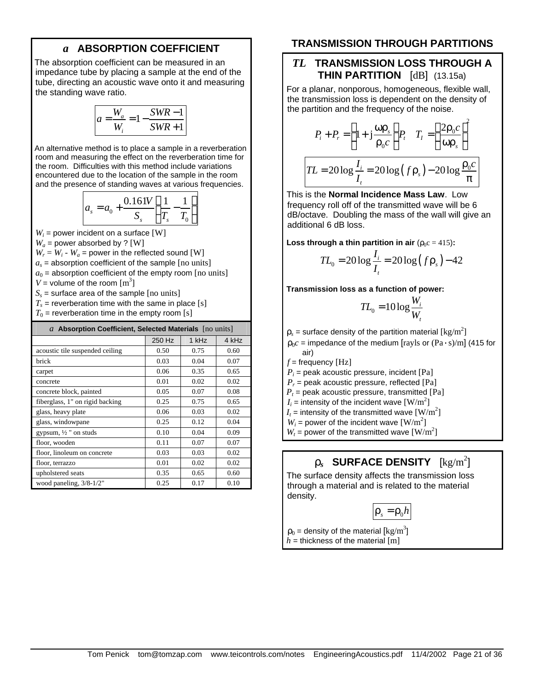## *a* **ABSORPTION COEFFICIENT**

The absorption coefficient can be measured in an impedance tube by placing a sample at the end of the tube, directing an acoustic wave onto it and measuring the standing wave ratio.

$$
a = \frac{W_a}{W_i} = 1 - \frac{SWR - 1}{SWR + 1}
$$

An alternative method is to place a sample in a reverberation room and measuring the effect on the reverberation time for the room. Difficulties with this method include variations encountered due to the location of the sample in the room and the presence of standing waves at various frequencies.

$$
a_s = a_0 + \frac{0.161V}{S_s} \left( \frac{1}{T_s} - \frac{1}{T_0} \right)
$$

 $W_i$  = power incident on a surface [W]

 $W_a$  = power absorbed by ? [W]

 $W_r = W_i - W_a$  = power in the reflected sound [W]

 $a_s$  = absorption coefficient of the sample  $[$ no units]

 $a_0$  = absorption coefficient of the empty room [no units]

 $V =$  volume of the room  $[m^3]$ 

*Ss* = surface area of the sample [no units]

 $T_s$  = reverberation time with the same in place [s]

 $T_0$  = reverberation time in the empty room [s]

| $a$ Absorption Coefficient, Selected Materials $[no units]$ |        |            |       |  |
|-------------------------------------------------------------|--------|------------|-------|--|
|                                                             | 250 Hz | $1$ kH $z$ | 4 kHz |  |
| acoustic tile suspended ceiling                             | 0.50   | 0.75       | 0.60  |  |
| brick                                                       | 0.03   | 0.04       | 0.07  |  |
| carpet                                                      | 0.06   | 0.35       | 0.65  |  |
| concrete                                                    | 0.01   | 0.02       | 0.02  |  |
| concrete block, painted                                     | 0.05   | 0.07       | 0.08  |  |
| fiberglass, 1" on rigid backing                             | 0.25   | 0.75       | 0.65  |  |
| glass, heavy plate                                          | 0.06   | 0.03       | 0.02  |  |
| glass, windowpane                                           | 0.25   | 0.12       | 0.04  |  |
| gypsum, 1/2" on studs                                       | 0.10   | 0.04       | 0.09  |  |
| floor, wooden                                               | 0.11   | 0.07       | 0.07  |  |
| floor, linoleum on concrete                                 | 0.03   | 0.03       | 0.02  |  |
| floor, terrazzo                                             | 0.01   | 0.02       | 0.02  |  |
| upholstered seats                                           | 0.35   | 0.65       | 0.60  |  |
| wood paneling, $3/8-1/2$ "                                  | 0.25   | 0.17       | 0.10  |  |

## **TRANSMISSION THROUGH PARTITIONS**

## *TL* **TRANSMISSION LOSS THROUGH A THIN PARTITION** [dB](13.15a)

For a planar, nonporous, homogeneous, flexible wall, the transmission loss is dependent on the density of the partition and the frequency of the noise.

$$
P_i + P_r = \left(1 + j\frac{\omega \rho_s}{\rho_0 c}\right) P_t \quad T_I = \left(\frac{2\rho_0 c}{\omega \rho_s}\right)^2
$$
  

$$
TL = 20\log\frac{I_i}{I_i} = 20\log\left(f\rho_s\right) - 20\log\frac{\rho_0 c}{\pi}
$$

This is the **Normal Incidence Mass Law**. Low frequency roll off of the transmitted wave will be 6 dB/octave. Doubling the mass of the wall will give an additional 6 dB loss.

**Loss through a thin partition in air** ( $\rho_0 c = 415$ ):

$$
TL_0 = 20 \log \frac{I_i}{I_t} = 20 \log (f \rho_s) - 42
$$

**Transmission loss as a function of power:**

$$
TL_0 = 10 \log \frac{W_i}{W_t}
$$

 $\rho_s$  = surface density of the partition material  $\rm [kg/m^2]$ 

 $\rho_0 c$  = impedance of the medium [rayls or  $(\text{Pa} \cdot \text{s})/\text{m}$ ] (415 for air)

 $f$  = frequency [Hz]

*Pi* = peak acoustic pressure, incident [Pa]

*Pr* = peak acoustic pressure, reflected [Pa]

 $P<sub>t</sub>$  = peak acoustic pressure, transmitted [Pa]

 $I_i$  = intensity of the incident wave  $\text{[W/m}^2\text{]}$ 

 $I_t$  = intensity of the transmitted wave  $\text{[W/m}^2\text{]}$ 

 $W_i$  = power of the incident wave  $\text{[W/m}^2\text{]}$ 

 $W_t$  = power of the transmitted wave  $\text{[W/m}^2\text{]}$ 

# $\mathbf{r}_s$  SURFACE DENSITY  $\rm [kg/m^2]$

The surface density affects the transmission loss through a material and is related to the material density.

$$
\rho_s = \rho_0 h
$$

 $\rho_0$  = density of the material  $\rm [kg/m^3]$  $h =$  thickness of the material  $[m]$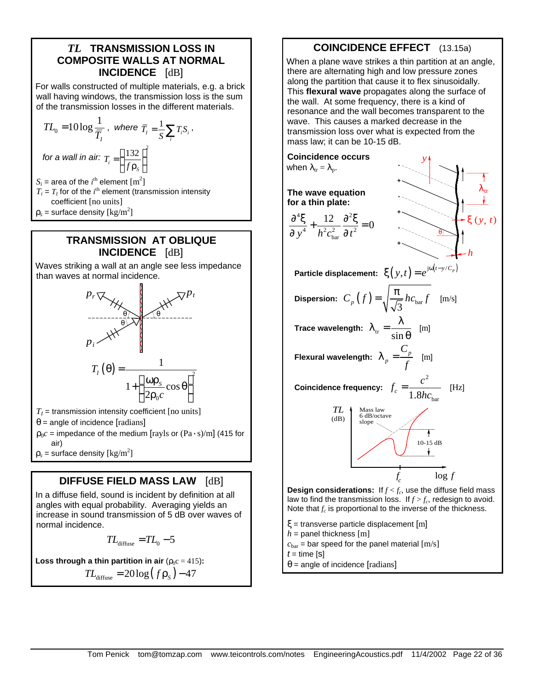## *TL* **TRANSMISSION LOSS IN COMPOSITE WALLS AT NORMAL INCIDENCE** [dB]

For walls constructed of multiple materials, e.g. a brick wall having windows, the transmission loss is the sum of the transmission losses in the different materials.

$$
TL_0 = 10 \log \frac{1}{\overline{T}_I}, \text{ where } \overline{T}_I = \frac{1}{S} \sum_i T_i S_i,
$$
  
for a wall in air:  $T_i = \left(\frac{132}{f \rho_s}\right)^2$   
 $S_i$  = area of the *i*<sup>th</sup> element [m<sup>2</sup>]  
 $T_i = T_I$  for of the *i*<sup>th</sup> element (transmission intensity coefficient [no units]

 $\rho_s$  = surface density  $\rm [kg/m^2]$ 

## **TRANSMISSION AT OBLIQUE INCIDENCE** [dB]

Waves striking a wall at an angle see less impedance than waves at normal incidence.



- $T_I$  = transmission intensity coefficient [no units]  $\theta$  = angle of incidence [radians]
- $\rho_0 c$  = impedance of the medium [rayls or  $\text{(Pa} \cdot \text{s})/\text{m}$ ] (415 for air)  $\rho_s$  = surface density  $\rm [kg/m^2]$

## **DIFFUSE FIELD MASS LAW** [dB]

In a diffuse field, sound is incident by definition at all angles with equal probability. Averaging yields an increase in sound transmission of 5 dB over waves of normal incidence.

$$
TL_{\text{diffuse}} = TL_0 - 5
$$

**Loss through a thin partition in air** ( $\rho_0 c = 415$ ):

$$
TL_{\text{diffuse}} = 20\log\left(f\,\rho_{\text{s}}\right) - 47
$$

# **COINCIDENCE EFFECT** (13.15a)

When a plane wave strikes a thin partition at an angle, there are alternating high and low pressure zones along the partition that cause it to flex sinusoidally. This **flexural wave** propagates along the surface of the wall. At some frequency, there is a kind of resonance and the wall becomes transparent to the wave. This causes a marked decrease in the transmission loss over what is expected from the mass law; it can be 10-15 dB. **Coincidence occurs** *y* when  $\lambda_{tr} = \lambda_p$ . **- +**  $\lambda_{\rm tr}$ **The wave equation for a thin plate: +**  $45 \t12 \t2^2$  $\frac{\partial^4 \xi}{\partial x^4} + \frac{12}{13} \frac{\partial^2 \xi}{\partial y^2} =$  $\frac{12}{2} \frac{\partial^2 \xi}{\partial x^2} = 0$ ξ (*y*, *t*) **-**  $\partial y^4 - h^2 c_{\text{bar}}^2 \partial$ 4  $\frac{1}{2}a^2$   $\frac{1}{2}a^2$  $y^4$  *h*  $^2c_{\text{bar}}^2$   $\partial t$ θ bar **+** *h* **Particle displacement:**  $\boldsymbol{\xi}(\boldsymbol{y},t) = e^{\mathrm{j}\omega(t-\boldsymbol{y}/C_p)}$ **Dispersion:**  $C_p(f) = \sqrt{\frac{\pi}{\sqrt{3}}} h c_{\text{bar}} f \pmod{f}$  $\lambda_{\text{tr}} = \frac{\lambda}{\sqrt{2}}$ **Trace wavelength:**  $\lambda_{\rm tr} = \frac{1}{\sin \theta}$  $\overline{\theta}$  [m] *C* **Flexural wavelength:**  $\lambda_n = \frac{C_p}{R}$  $\lambda_n = \frac{\mathcal{L}_p}{\mathcal{L}}$  [m] *p f* 2  $f_c = \frac{c}{1.27}$  $=\frac{c}{\sqrt{c}}$  [Hz] **Coincidence frequency:**  $\frac{c}{c}$  1.8h $c_{\text{bar}}$ *hc TL* Mass law 6 dB/octave  $(dB)$ slope 10-15 dB  $\mathbf{L}$ *f* log *f c* **Design considerations:** If *f < f<sup>c</sup>* , use the diffuse field mass law to find the transmission loss. If  $f > f_c$ , redesign to avoid. Note that  $f_c$  is proportional to the inverse of the thickness. ξ = transverse particle displacement [m]

- $h =$  panel thickness [m]
- $c_{\text{bar}}$  = bar speed for the panel material  $[m/s]$

 $t =$  time  $[s]$ 

 $\theta$  = angle of incidence [radians]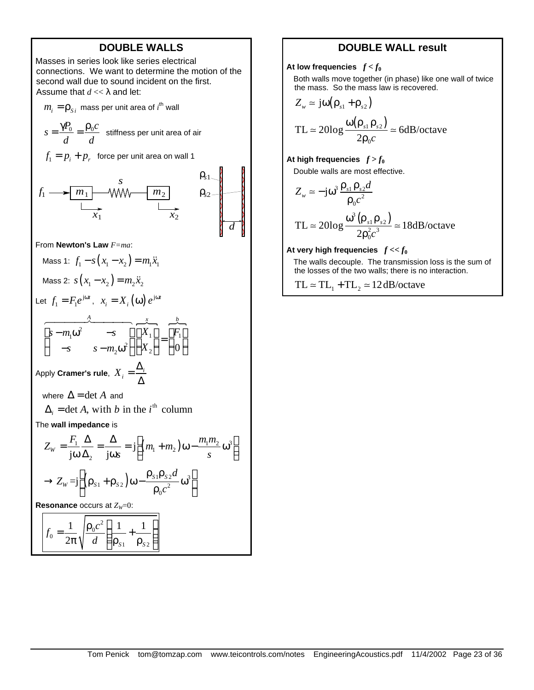## **DOUBLE WALLS**

Masses in series look like series electrical connections. We want to determine the motion of the second wall due to sound incident on the first. Assume that  $d \ll \lambda$  and let:

 $m_{\widetilde i} = {\mathsf p}_{\scriptscriptstyle S}{}_{\widetilde i}$  mass per unit area of  ${\widetilde i}^{\mathsf h}$  wall

$$
s = \frac{\gamma P_0}{d} = \frac{\rho_0 c}{d}
$$
 stiffness per unit area of air  
 $f_1 = p_i + p_r$  force per unit area on wall 1  
 $f_1 \longrightarrow \boxed{m_1}$   
 $f_1 \longrightarrow \boxed{m_1}$   
 $f_1 \longrightarrow \boxed{m_1}$   
 $f_1 \longrightarrow \boxed{m_1}$   
 $f_1 \longrightarrow \boxed{m_2}$   
 $f_2 \longrightarrow \boxed{m_2}$   
 $f_3 \longrightarrow \boxed{m_3}$ 

From **Newton's Law** *F=ma*:

Mass 1: 
$$
f_1 - s(x_1 - x_2) = m_1 \ddot{x}_1
$$
  
Mass 2:  $s(x_1 - x_2) = m_2 \ddot{x}_2$ 

Let 
$$
f_1 = F_1 e^{j\omega t}
$$
,  $x_i = X_i(\omega) e^{j\omega t}$ 

$$
\left[\begin{array}{ccc} & A & B & B \\ S - m_1 \omega^2 & -S & D \\ -S & S - m_2 \omega^2 \end{array}\right] \left[\begin{array}{c} X_1 \\ X_2 \end{array}\right] = \left[\begin{array}{c} B \\ F_1 \\ 0 \end{array}\right]
$$

Apply **Cramer's rule**,  $X_i = \frac{\Delta_i}{\Delta_i}$ Δ

where  $\Delta = \det A$  and

$$
\Delta_i = \det A, \text{ with } b \text{ in the } i^{\text{th}} \text{ column}
$$

The **wall impedance** is

$$
Z_{w} = \frac{F_{1}}{j\omega} \frac{\Delta}{\Delta_{2}} = \frac{\Delta}{j\omega s} = j \left[ (m_{1} + m_{2}) \omega - \frac{m_{1}m_{2}}{s} \omega^{3} \right]
$$

$$
\rightarrow Z_{w} = j \left[ (\rho_{s1} + \rho_{s2}) \omega - \frac{\rho_{s1}\rho_{s2}d}{\rho_{0}c^{2}} \omega^{3} \right]
$$
  
Resonance occurs at  $Z_{w}=0$ :
$$
f_{0} = \frac{1}{2\pi} \sqrt{\frac{\rho_{0}c^{2}}{d} \left( \frac{1}{\rho_{s1}} + \frac{1}{\rho_{s2}} \right)}
$$

## **DOUBLE WALL result**

At low frequencies  $f < f_0$ 

Both walls move together (in phase) like one wall of twice the mass. So the mass law is recovered.

$$
Z_{w} \simeq j\omega(\rho_{s1} + \rho_{s2})
$$

$$
TL \approx 20\log \frac{\omega(\rho_{s1}\rho_{s2})}{2\rho_0 c} \approx 6dB/octave
$$

At high frequencies  $f > f_0$ Double walls are most effective.

$$
Z_w = -j\omega^3 \frac{\rho_{s1} \rho_{s2} d}{\rho_0 c^2}
$$

$$
TL \simeq 20\log \frac{\omega^3(\rho_{s1}\rho_{s2})}{2\rho_0^2 c^3} \simeq 18\text{dB}/\text{octave}
$$

#### At very high frequencies  $f \ll f_0$

The walls decouple. The transmission loss is the sum of the losses of the two walls; there is no interaction.

 $TL \approx TL_1 + TL_2 \approx 12 dB/cctave$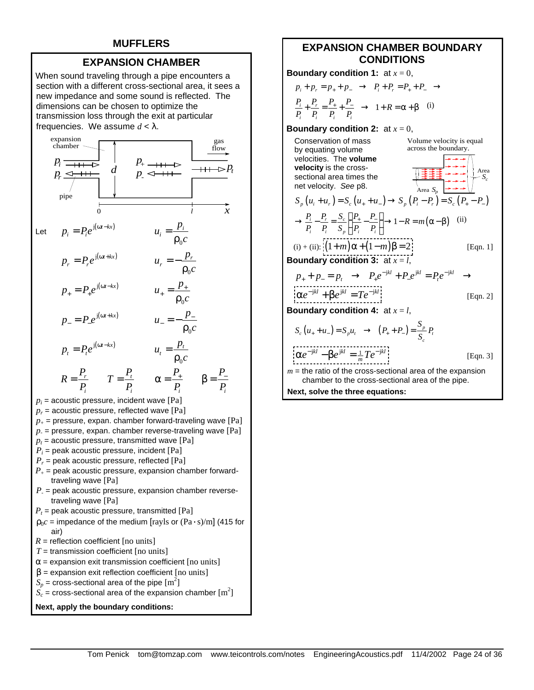## **MUFFLERS**

## **EXPANSION CHAMBER**

When sound traveling through a pipe encounters a section with a different cross-sectional area, it sees a new impedance and some sound is reflected. The dimensions can be chosen to optimize the transmission loss through the exit at particular frequencies. We assume  $d < \lambda$ .



- 
- $\beta$  = expansion exit reflection coefficient [no units]
- $S_p$  = cross-sectional area of the pipe  $\text{[m}^2\text{]}$

$$
\dot{S_c}
$$
 = cross-sectional area of the expansion chamber [m<sup>2</sup>]



## **EXPANSION CHAMBER BOUNDARY CONDITIONS**

**Boundary condition 1:** at  $x = 0$ ,

$$
p_i + p_r = p_+ + p_- \rightarrow P_i + P_r = P_+ + P_- \rightarrow
$$
  

$$
\frac{P_i}{P_i} + \frac{P_r}{P_i} = \frac{P_+}{P_i} + \frac{P_-}{P_i} \rightarrow 1 + R = \alpha + \beta
$$
 (i)

#### **Boundary condition 2:** at  $x = 0$ ,

Conservation of mass by equating volume velocities. The **volume velocity** is the crosssectional area times the net velocity. *See* p8.

$$
S_p (u_i + u_r) = S_c (u_+ + u_-) \rightarrow S_p (P_i - P_r) = S_c (P_+ - P_-)
$$
  
\n
$$
\rightarrow \frac{P_i}{P_i} - \frac{P_r}{P_i} = \frac{S_c}{S_p} \left( \frac{P_+}{P_i} - \frac{P_-}{P_i} \right) \rightarrow 1 - R = m(\alpha - \beta)
$$
 (ii)  
\n(i) + (ii):  $\left[ (1 + m)\alpha + (1 - m)\beta = 2 \right]$  [Eqn. 1]

*Sc*

Area

Volume velocity is equal across the boundary.

**Boundary condition 3:** at *x* = *l*,

$$
p_{+} + p_{-} = p_{t} \rightarrow P_{+}e^{-jkl} + P_{-}e^{jkl} = P_{t}e^{-jkl} \rightarrow
$$
  
\n
$$
p_{+}e^{-jkl} + \beta e^{jkl} = T e^{-jkl}
$$
  
\n
$$
p_{+}e^{-jkl} + \beta e^{jkl} = T e^{-jkl}
$$
  
\n
$$
p_{+} = P_{t}e^{-jkl}
$$
  
\n
$$
[Eqn. 2]
$$

**Boundary condition 4:** at  $x = l$ ,

$$
S_c (u_+ + u_-) = S_p u_t \rightarrow (P_+ + P_-) = \frac{S_p}{S_c} P_t
$$
  
\n
$$
\{ \alpha e^{-jkl} - \beta e^{jkl} = \frac{1}{m} T e^{-jkl} \}
$$
 [Eqn. 3]  
\n $u_-$  the ratio of the cross-sectional area of the expansion

*m* = the ratio of the cross-sectional area of the expansion chamber to the cross-sectional area of the pipe.

**Next, solve the three equations:**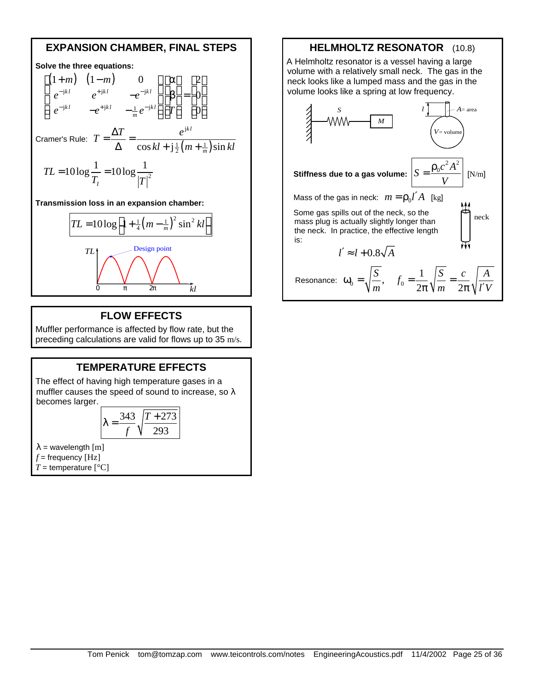## **EXPANSION CHAMBER, FINAL STEPS**

#### **Solve the three equations:**  $(1 + m) (1 - m)$  $jkl$   $a+jkl$   $a-j$  $jkl = a^{+}jkl = 1 a^{-}j$  $1+m$   $(1-m)$  0  $\lceil \alpha \rceil$   $\lceil 2 \rceil$ 0 0  $k l$   $- j k l$   $- j k l$  $k l$   $- j k l$   $1 - j k l$ *m m*)  $(1 - m)$  $e^{-jkl}$   $e^{+jkl}$   $-e^{l}$  $e^{-jkl}$   $-e^{+jkl}$   $-\frac{1}{m}e^{-jkl}$  || T  $- jkl$   $- jkl$   $- jkl = - \frac{1}{2}k l$  1  $\begin{bmatrix} (1+m) & (1-m) & 0 \\ 0^{-(jkl)} & 0^{+(jkl)} & -e^{-jkl} \end{bmatrix} \begin{bmatrix} \alpha \\ \beta \end{bmatrix} = \begin{bmatrix} 2 \\ 0 \end{bmatrix}$  $\left| \begin{array}{cc} e^{-jkl} & e^{+jkl} & -e^{-jkl} \end{array} \right| \left| \begin{array}{c} \beta \\ \end{array} \right| = \left| \begin{array}{c} 0 \end{array} \right|$  $\left[ e^{-jkl} -e^{+jkl} - \frac{1}{m}e^{-jkl} \right]$  $\left[ T \right]$   $\left[ 0 \right]$ Cramer's Rule:  $T = \frac{\Delta}{\Delta} = \frac{1}{\cos kl + j\frac{1}{2}(m + \frac{1}{m})}$ j  $\cos kl + \mathbf{j}\frac{1}{2}(m + \frac{1}{m})\sin$ *kl m*  $T = \frac{\Delta T}{\Delta t} = \frac{e}{\Delta t}$  $kl + j\frac{1}{2}(m + \frac{1}{m})\sin kl$  $=\frac{\Delta T}{\Delta t}$  =  $\Delta$   $\cos kl + j\frac{1}{2}(m +$  $10\log\frac{1}{T} = 10\log\frac{1}{\ln^2}$ *I TL*  $T_I$ <sup>*T<sub>I</sub> T*</sup>  $= 10 \log \frac{1}{2}$ **Transmission loss in an expansion chamber:**

$$
TL = 10\log\left[1 + \frac{1}{4}\left(m - \frac{1}{m}\right)^2 \sin^2 kl\right]
$$
  

$$
TL
$$
Design point  

$$
0 \qquad \pi \qquad 2\pi
$$

# **FLOW EFFECTS**

Muffler performance is affected by flow rate, but the preceding calculations are valid for flows up to 35 m/s.

## **TEMPERATURE EFFECTS**

The effect of having high temperature gases in a muffler causes the speed of sound to increase, so  $\lambda$ becomes larger.

$$
\lambda = \frac{343}{f} \sqrt{\frac{T + 273}{293}}
$$

 $\lambda$  = wavelength  $[m]$  $f =$  frequency [Hz]

*T* = temperature  $[°C]$ 

## **HELMHOLTZ RESONATOR** (10.8)

A Helmholtz resonator is a vessel having a large volume with a relatively small neck. The gas in the neck looks like a lumped mass and the gas in the volume looks like a spring at low frequency.

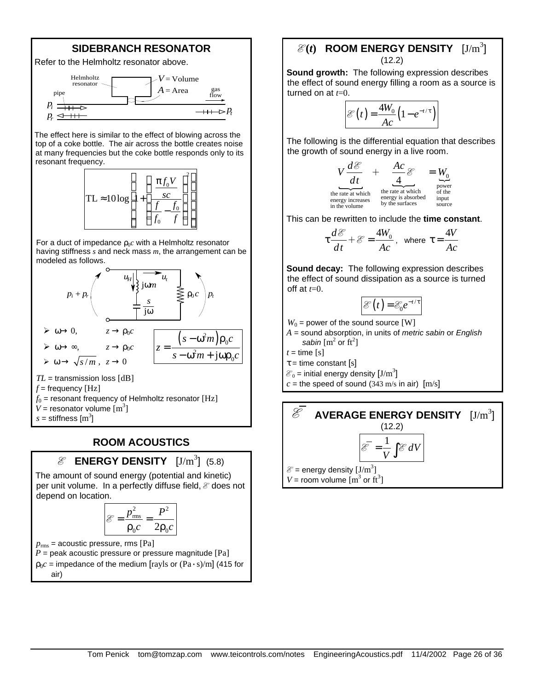## **SIDEBRANCH RESONATOR**



The effect here is similar to the effect of blowing across the top of a coke bottle. The air across the bottle creates noise at many frequencies but the coke bottle responds only to its resonant frequency.



For a duct of impedance  $\rho_0 c$  with a Helmholtz resonator having stiffness *s* and neck mass *m*, the arrangement can be modeled as follows.



 $s =$  stiffness  $\mathrm{[m}^3\mathrm{]}$ 

## **ROOM ACOUSTICS**

# $\mathscr E$  **ENERGY DENSITY**  $[J/m^3]$  (5.8)

The amount of sound energy (potential and kinetic) per unit volume. In a perfectly diffuse field,  $\mathcal E$  does not depend on location.

$$
\mathcal{E} = \frac{p_{\rm rms}^2}{\rho_0 c} = \frac{P^2}{2\rho_0 c}
$$

 $p_{\rm rms}$  = acoustic pressure, rms [Pa]

 $P$  = peak acoustic pressure or pressure magnitude [Pa]  $\rho_0 c$  = impedance of the medium [rayls or  $(\text{Pa} \cdot \text{s})/\text{m}$ ] (415 for air)

## $\mathcal{E}(t)$  ROOM ENERGY DENSITY  $[J/m^3]$  $(12.2)$

**Sound growth:** The following expression describes the effect of sound energy filling a room as a source is turned on at *t*=0.

$$
\mathcal{E}(t) = \frac{4W_0}{Ac} \left(1 - e^{-t/\tau}\right)
$$

The following is the differential equation that describes the growth of sound energy in a live room.

> the rate at which<br>the rate at which<br>energy is absorbed  $\stackrel{\mathsf{IV}_0}{\sim}$ power the rate at which the rate at which energy increases energy is absorbed input in the volume by the surfaces source 4  $V \frac{d\mathcal{E}}{d\mathcal{E}} + \frac{Ac}{d\mathcal{E}} \mathcal{E} = W_1$ *dt* = E  $+\quad -\frac{4\pi}{4}$

This can be rewritten to include the **time constant**.

$$
\tau \frac{d\mathcal{E}}{dt} + \mathcal{E} = \frac{4W_0}{Ac}, \text{ where } \tau = \frac{4V}{Ac}
$$

**Sound decay:** The following expression describes the effect of sound dissipation as a source is turned off at  $t=0$ .

$$
\mathcal{E}(t) = \mathcal{E}_0 e^{-t/\tau}
$$

 $W_0$  = power of the sound source [W]

*A* = sound absorption, in units of *metric sabin* or *English*  sabin  $\left[\text{m}^2 \text{ or } \text{ft}^2\right]$ 

 $t =$  time [s]

 $\tau$  = time constant [s]

 $\mathcal{E}_0$  = initial energy density  $[J/m^3]$ 

 $c$  = the speed of sound (343 m/s in air)  $[m/s]$ 

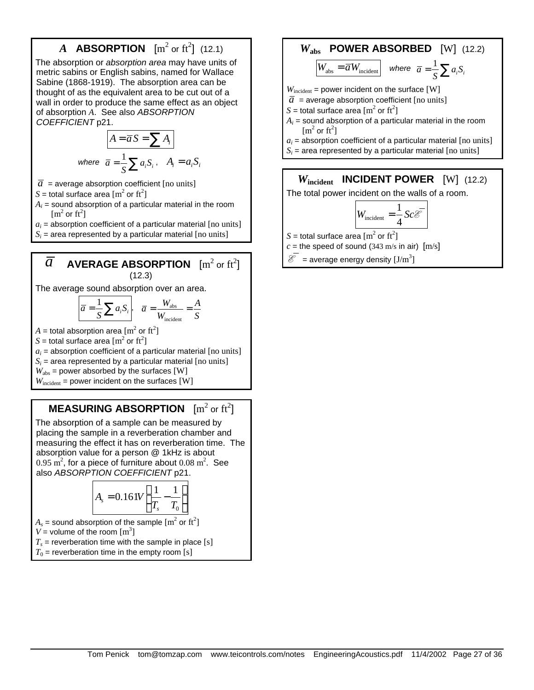# **A ABSORPTION**  $[m^2 \text{ or } ft^2]$  (12.1)

The absorption or *absorption area* may have units of metric sabins or English sabins, named for Wallace Sabine (1868-1919). The absorption area can be thought of as the equivalent area to be cut out of a wall in order to produce the same effect as an object of absorption *A*. See also *ABSORPTION COEFFICIENT* p21.

$$
A = \overline{a} S = \sum A_i
$$
  
where  $\overline{a} = \frac{1}{S} \sum a_i S_i$ ,  $A_i = a_i S_i$ 

- $\overline{a}$  = average absorption coefficient [no units]
- $S =$  total surface area  $\left[\text{m}^2 \text{ or } \text{ft}^2\right]$
- $A_i$  = sound absorption of a particular material in the room  $[m^2$  or  $ft^2]$
- $a_i$  = absorption coefficient of a particular material  $[$ no units]

 $S_i$  = area represented by a particular material [no units]

# $\overline{a}$  **AVERAGE ABSORPTION**  $\left[ \mathrm{m}^2 \, \mathrm{or} \, \mathrm{ft}^2 \right]$ (12.3)

The average sound absorption over an area.

$$
\overline{a} = \frac{1}{S} \sum a_i S_i, \quad \overline{a} = \frac{W_{\text{abs}}}{W_{\text{incident}}} = \frac{A}{S}
$$

 $A=$  total absorption area  $[{\rm m}^2\text{ or }{\rm ft}^2]$ 

*S* = total surface area  $\mathrm{[m^2 \text{ or } ft^2]}$ 

 $a_i$  = absorption coefficient of a particular material  $[$ no units $]$ 

 $S_i$  = area represented by a particular material [no units]  $W_{\text{abs}}$  = power absorbed by the surfaces [W]

 $W_{\text{incident}}$  = power incident on the surfaces [W]

# **MEASURING ABSORPTION**  $[m^2 \text{ or } ft^2]$

The absorption of a sample can be measured by placing the sample in a reverberation chamber and measuring the effect it has on reverberation time. The absorption value for a person @ 1kHz is about  $0.95 \text{ m}^2$ , for a piece of furniture about  $0.08 \text{ m}^2$ . See also *ABSORPTION COEFFICIENT* p21.

$$
A_s = 0.161V\left(\frac{1}{T_s} - \frac{1}{T_0}\right)
$$

 $A_s$  = sound absorption of the sample  $\mathrm{[m}^2$  or  $\mathrm{ft}^2\mathrm{]}$ 

 $V =$  volume of the room  $[m^3]$ 

 $T_s$  = reverberation time with the sample in place [s]

 $T_0$  = reverberation time in the empty room [s]

# *W***abs POWER ABSORBED** [W] (12.2)  $W_{\text{abs}} = \overline{a} W_{\text{incident}}$  where  $\overline{a} = \frac{1}{S} \sum a_i S_i$

 $W_{\text{incident}}$  = power incident on the surface [W]  $\overline{a}$  = average absorption coefficient [no units]  $S =$  total surface area  $\left[\text{m}^2 \text{ or } \text{ft}^2\right]$  $A_i$  = sound absorption of a particular material in the room  $[m^2$  or  $ft^2]$ 

- $a_i$  = absorption coefficient of a particular material  $[$ no units $]$
- $S_i$  = area represented by a particular material [no units]

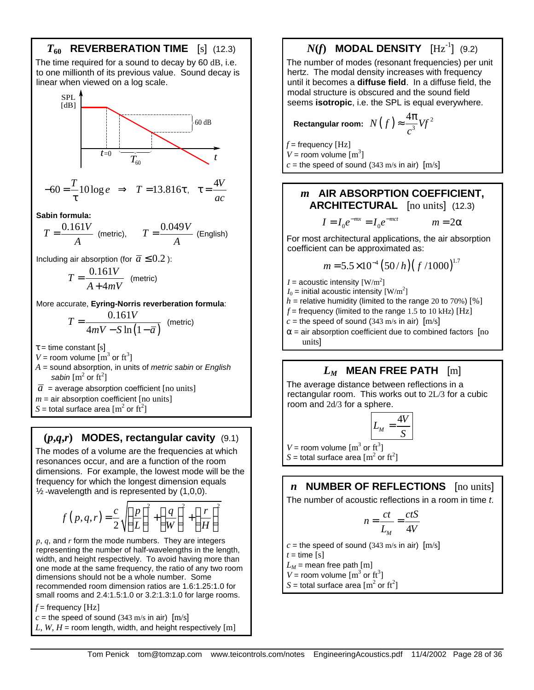

# **(***p***,***q***,***r***) MODES, rectangular cavity** (9.1)

The modes of a volume are the frequencies at which resonances occur, and are a function of the room dimensions. For example, the lowest mode will be the frequency for which the longest dimension equals  $\frac{1}{2}$ -wavelength and is represented by (1,0,0).

$$
f(p,q,r) = \frac{c}{2} \sqrt{\left(\frac{p}{L}\right)^2 + \left(\frac{q}{W}\right)^2 + \left(\frac{r}{H}\right)^2}
$$

*p*, *q*, and *r* form the mode numbers. They are integers representing the number of half-wavelengths in the length, width, and height respectively. To avoid having more than one mode at the same frequency, the ratio of any two room dimensions should not be a whole number. Some recommended room dimension ratios are 1.6:1.25:1.0 for small rooms and 2.4:1.5:1.0 or 3.2:1.3:1.0 for large rooms.

 $f =$  frequency [Hz]

 $c =$  the speed of sound (343 m/s in air)  $[m/s]$ *L, W, H* = room length, width, and height respectively  $[m]$   $N(f)$  **MODAL DENSITY**  $[\text{Hz}^{-1}]$  (9.2)

The number of modes (resonant frequencies) per unit hertz. The modal density increases with frequency until it becomes a **diffuse field**. In a diffuse field, the modal structure is obscured and the sound field seems **isotropic**, i.e. the SPL is equal everywhere.

Rectangular room: 
$$
N(f) \approx \frac{4\pi}{c^3} Vf^2
$$

 $f =$  frequency [Hz]  $V =$  room volume  $\text{[m}^3\text{]}$  $c =$  the speed of sound (343 m/s in air)  $[m/s]$ 

## *m* **AIR ABSORPTION COEFFICIENT, ARCHITECTURAL** [no units] (12.3)

$$
I = I_0 e^{-mx} = I_0 e^{-mct} \qquad m = 2\alpha
$$

For most architectural applications, the air absorption coefficient can be approximated as:

$$
m = 5.5 \times 10^{-4} \left( 50/h \right) \left( \frac{f}{1000} \right)^{1.7}
$$

 $I =$  acoustic intensity  $\text{[W/m}^2\text{]}$ 

 $I_0$  = initial acoustic intensity  $\text{[W/m}^2\text{]}$  $h$  = relative humidity (limited to the range 20 to 70%) [%]

 $f =$  frequency (limited to the range 1.5 to 10 kHz) [Hz]

 $c =$  the speed of sound (343 m/s in air)  $[m/s]$ 

 $\alpha$  = air absorption coefficient due to combined factors  $[$ no units]

# *LM* **MEAN FREE PATH** [m]

The average distance between reflections in a rectangular room. This works out to 2L/3 for a cubic room and 2d/3 for a sphere.

$$
L_M = \frac{4V}{S}
$$

 $V =$  room volume  $\left[\text{m}^3 \text{ or } \text{ft}^3\right]$ 

 $S =$  total surface area  $\left[\text{m}^2 \text{ or } \text{ft}^2\right]$ 

# *n* **NUMBER OF REFLECTIONS** [no units]

The number of acoustic reflections in a room in time *t*.

$$
n = \frac{ct}{L_M} = \frac{ctS}{4V}
$$

 $c =$  the speed of sound (343 m/s in air)  $[m/s]$ 

 $t =$  time  $[s]$ 

 $L_M$  = mean free path [m]

 $V =$  room volume  $\left[\text{m}^3 \text{ or } \text{ft}^3\right]$ 

*S* = total surface area  $\left[\text{m}^2 \text{ or } \text{ft}^2\right]$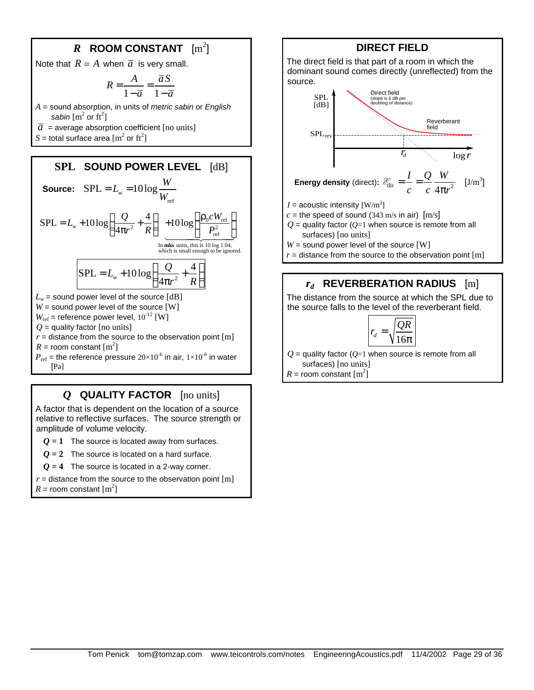# $\boldsymbol{R}$  ROOM CONSTANT  $\rm [m^2]$

Note that  $R \simeq A$  when  $\bar{a}$  is very small.

$$
R = \frac{A}{1 - \overline{a}} = \frac{\overline{a}S}{1 - \overline{a}}
$$

*A* = sound absorption, in units of *metric sabin* or *English*  sabin  $\left[\text{m}^2 \text{ or } \text{ft}^2\right]$ 

 $\overline{a}$  = average absorption coefficient [no units]

*S* = total surface area  $\mathrm{[m^2 \text{ or } ft^2]}$ 



## *Q* **QUALITY FACTOR** [no units]

A factor that is dependent on the location of a source relative to reflective surfaces. The source strength or amplitude of volume velocity.

*Q* **= 1** The source is located away from surfaces.

 $Q = 2$  The source is located on a hard surface.

*Q* **= 4** The source is located in a 2-way corner.

 $r =$  distance from the source to the observation point  $[m]$  $R =$  room constant  $\text{[m}^2\text{]}$ 

## **DIRECT FIELD**

The direct field is that part of a room in which the dominant sound comes directly (unreflected) from the source.



 $I =$  acoustic intensity  $\text{[W/m}^2\text{]}$ 

 $c =$  the speed of sound (343 m/s in air)  $[m/s]$ 

 $Q$  = quality factor ( $Q=1$  when source is remote from all surfaces) [no units]

*W* = sound power level of the source [W]

 $r =$  distance from the source to the observation point  $[m]$ 

## *rd* **REVERBERATION RADIUS** [m]

The distance from the source at which the SPL due to the source falls to the level of the reverberant field.

$$
r_d = \sqrt{\frac{QR}{16\pi}}
$$

 $Q =$  quality factor ( $Q=1$  when source is remote from all surfaces) [no units]

 $R =$  room constant  $\text{m}^2$ ]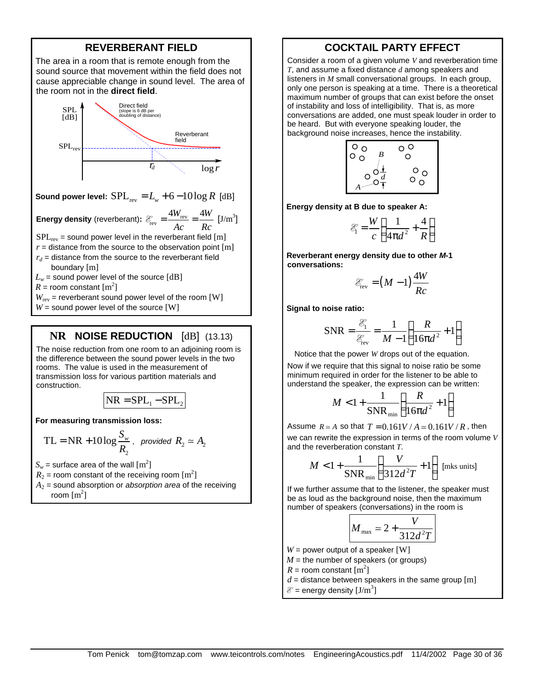## **REVERBERANT FIELD**

The area in a room that is remote enough from the sound source that movement within the field does not cause appreciable change in sound level. The area of the room not in the **direct field**.



**Sound power level:**  $SPL_{rev} = L_v + 6 - 10 \log R$  [dB]

**Energy density** (reverberant):  $\mathcal{E}_{\text{rev}} = \frac{4W_{\text{rev}}}{4}$  $4W_{\text{rev}}$   $4W$ *Ac Rc*  $\mathscr{E}_{\text{rev}} = \frac{4W_{\text{rev}}}{4} = \frac{4W}{R}$  [J/m<sup>3</sup>]

 $SPL<sub>rev</sub>$  = sound power level in the reverberant field [m]

- $r =$  distance from the source to the observation point  $[m]$  $r_d$  = distance from the source to the reverberant field
	- boundary [m]
- $L_w$  = sound power level of the source  $[dB]$

 $R =$  room constant  $\text{m}^2$ ]

 $W_{\text{rev}}$  = reverberant sound power level of the room [W]

 $W =$  sound power level of the source  $[W]$ 

## **NR NOISE REDUCTION** [dB] (13.13)

The noise reduction from one room to an adjoining room is the difference between the sound power levels in the two rooms. The value is used in the measurement of transmission loss for various partition materials and construction.

$$
NR = SPL_1 - SPL_2
$$

**For measuring transmission loss:**

$$
TL = NR + 10 \log \frac{S_w}{R_2}
$$
, provided  $R_2 \approx A_2$ 

 $S_w$  = surface area of the wall  $\mathrm{[m^2]}$ 

- $R_2$  = room constant of the receiving room  $\mathrm{[m^2]}$
- *A*2 = sound absorption or *absorption area* of the receiving
	- room  $\text{[m}^2\text{]}$

## **COCKTAIL PARTY EFFECT**

Consider a room of a given volume *V* and reverberation time *T*, and assume a fixed distance *d* among speakers and listeners in *M* small conversational groups. In each group, only one person is speaking at a time. There is a theoretical maximum number of groups that can exist before the onset of instability and loss of intelligibility. That is, as more conversations are added, one must speak louder in order to be heard. But with everyone speaking louder, the background noise increases, hence the instability.



**Energy density at B due to speaker A:**

$$
\mathcal{E}_1 = \frac{W}{c} \left( \frac{1}{4\pi d^2} + \frac{4}{R} \right)
$$

**Reverberant energy density due to other** *M***-1 conversations:**

$$
\mathcal{E}_{\text{rev}} = (M-1)\frac{4W}{Rc}
$$

**Signal to noise ratio:**

$$
SNR = \frac{\mathcal{E}_1}{\mathcal{E}_{\text{rev}}} = \frac{1}{M - 1} \left( \frac{R}{16\pi d^2} + 1 \right)
$$

Notice that the power *W* drops out of the equation.

Now if we require that this signal to noise ratio be some minimum required in order for the listener to be able to understand the speaker, the expression can be written:

$$
M < 1 + \frac{1}{\text{SNR}_{\text{min}}} \left( \frac{R}{16\pi d^2} + 1 \right)
$$

Assume  $R \approx A$  so that  $T = 0.161V/A \approx 0.161V/R$ , then we can rewrite the expression in terms of the room volume *V* and the reverberation constant *T*.

$$
M < 1 + \frac{1}{SNR_{min}} \left( \frac{V}{312d^2T} + 1 \right)
$$
 [mks units]

If we further assume that to the listener, the speaker must be as loud as the background noise, then the maximum number of speakers (conversations) in the room is

$$
M_{\text{max}} \simeq 2 + \frac{V}{312d^2T}
$$

 $W =$  power output of a speaker  $[W]$ 

 $M =$  the number of speakers (or groups)

 $R =$  room constant  $\left[\text{m}^2\right]$ 

 $d =$  distance between speakers in the same group  $[m]$ 

 $\mathcal{E}$  = energy density  $[\text{J/m}^3]$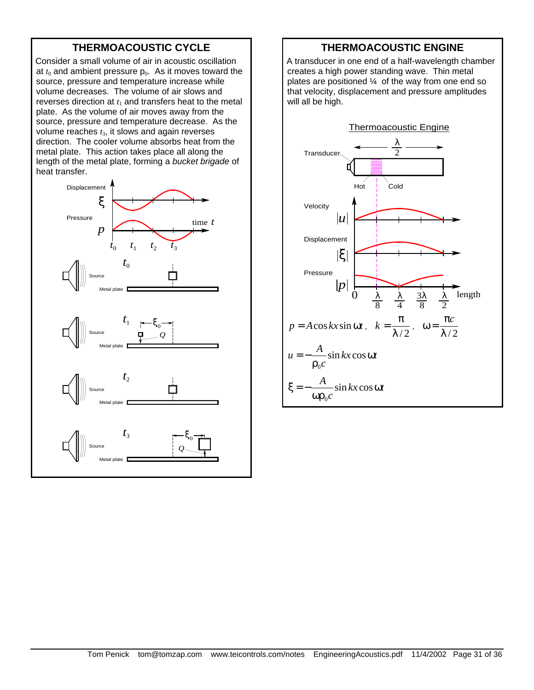# **THERMOACOUSTIC CYCLE**

Consider a small volume of air in acoustic oscillation at  $t_0$  and ambient pressure  $p_0$ . As it moves toward the source, pressure and temperature increase while volume decreases. The volume of air slows and reverses direction at  $t_1$  and transfers heat to the metal plate. As the volume of air moves away from the source, pressure and temperature decrease. As the volume reaches *t*3, it slows and again reverses direction. The cooler volume absorbs heat from the metal plate. This action takes place all along the length of the metal plate, forming a *bucket brigade* of heat transfer.



## **THERMOACOUSTIC ENGINE**

A transducer in one end of a half-wavelength chamber creates a high power standing wave. Thin metal plates are positioned  $\frac{1}{4}$  of the way from one end so that velocity, displacement and pressure amplitudes will all be high.

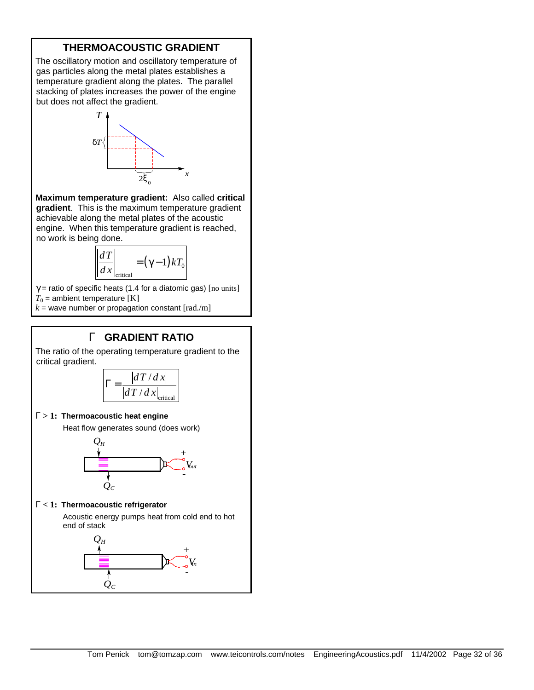## **THERMOACOUSTIC GRADIENT**

The oscillatory motion and oscillatory temperature of gas particles along the metal plates establishes a temperature gradient along the plates. The parallel stacking of plates increases the power of the engine but does not affect the gradient.



**Maximum temperature gradient:** Also called **critical gradient**. This is the maximum temperature gradient achievable along the metal plates of the acoustic engine. When this temperature gradient is reached, no work is being done.

$$
\left. \frac{dT}{dx} \right|_{\text{critical}} = (\gamma - 1) k T_0
$$

 $\gamma$  = ratio of specific heats (1.4 for a diatomic gas) [no units]  $T_0$  = ambient temperature [K]

 $k =$  wave number or propagation constant  $\lceil \text{rad./m} \rceil$ 

## **G GRADIENT RATIO**

The ratio of the operating temperature gradient to the critical gradient.

$$
\Gamma = \frac{|dT/dx|}{|dT/dx|_{\text{critical}}}
$$

#### **G > 1: Thermoacoustic heat engine**

Heat flow generates sound (does work)



## **G < 1: Thermoacoustic refrigerator**

Acoustic energy pumps heat from cold end to hot end of stack

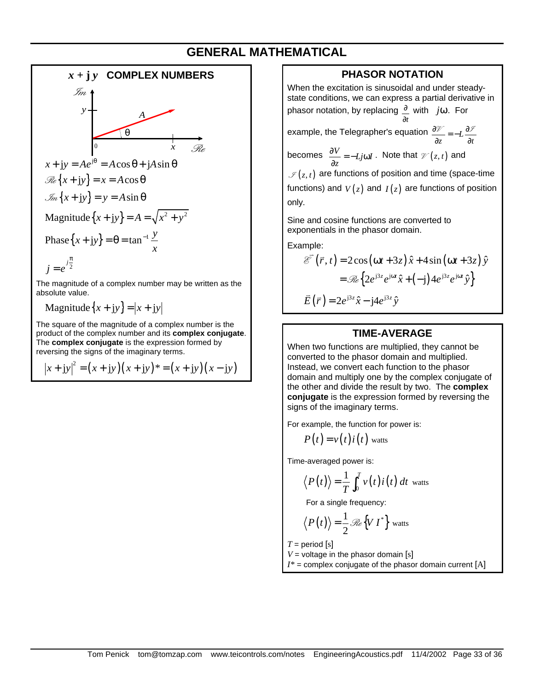# **GENERAL MATHEMATICAL**



Magnitude $\{x + iy\} = |x + iy|$ 

The square of the magnitude of a complex number is the product of the complex number and its **complex conjugate**. The **complex conjugate** is the expression formed by reversing the signs of the imaginary terms.

$$
|x + jy|^2 = (x + jy)(x + jy)^* = (x + jy)(x - jy)
$$

## **PHASOR NOTATION**

When the excitation is sinusoidal and under steadystate conditions, we can express a partial derivative in phasor notation, by replacing *t* ∂ ∂ with *j*ω. For

example, the Telegrapher's equation  $\frac{\partial \mathcal{V}}{\partial z} = -L \frac{\partial \mathcal{V}}{\partial t}$  $rac{\partial \mathcal{V}}{\partial z} = -L \frac{\partial}{\partial z}$  $\mathcal{U} = -L \frac{\partial \mathcal{I}}{\partial x}$ 

becomes  $\frac{\partial V}{\partial z} = -Lj\omega I$  $\frac{\partial V}{\partial z}$  = −*Lj*ω*I* . Note that  $\mathcal{V}(z, t)$  and  $\mathcal{I}(z,t)$  are functions of position and time (space-time functions) and  $V(z)$  and  $I(z)$  are functions of position only.

Sine and cosine functions are converted to exponentials in the phasor domain.

Example:

$$
\overrightarrow{\mathcal{E}}(\overrightarrow{r}, t) = 2\cos(\omega t + 3z)\hat{x} + 4\sin(\omega t + 3z)\hat{y}
$$

$$
= \mathcal{R}\left\{2e^{j3z}e^{j\omega t}\hat{x} + (-j)4e^{j3z}e^{j\omega t}\hat{y}\right\}
$$

$$
\overrightarrow{E}(\overrightarrow{r}) = 2e^{j3z}\hat{x} - j4e^{j3z}\hat{y}
$$

### **TIME-AVERAGE**

When two functions are multiplied, they cannot be converted to the phasor domain and multiplied. Instead, we convert each function to the phasor domain and multiply one by the complex conjugate of the other and divide the result by two. The **complex conjugate** is the expression formed by reversing the signs of the imaginary terms.

For example, the function for power is:

$$
P(t) = v(t)i(t)
$$
 watts

Time-averaged power is:

$$
\langle P(t) \rangle = \frac{1}{T} \int_0^T v(t) i(t) dt
$$
 watts

For a single frequency:

$$
\langle P(t) \rangle = \frac{1}{2} \mathcal{R}e \{ V I^* \}
$$
 watts

 $T =$  period [s]

 $V =$  voltage in the phasor domain [s]  $I^*$  = complex conjugate of the phasor domain current  $[A]$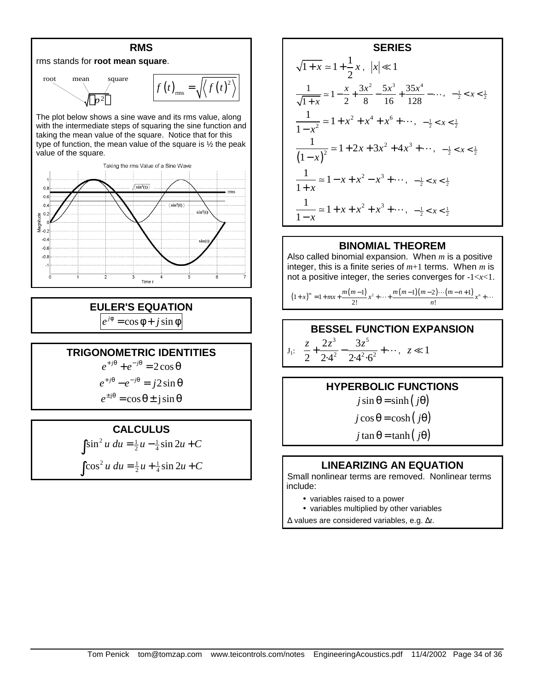

The plot below shows a sine wave and its rms value, along with the intermediate steps of squaring the sine function and taking the mean value of the square. Notice that for this type of function, the mean value of the square is ½ the peak value of the square.



**EULER'S EQUATION**  $e^{j\phi} = \cos \phi + j \sin \phi$ 

## **TRIGONOMETRIC IDENTITIES**

 $e^{+j\theta} + e^{-j\theta} = 2\cos\theta$ 

 $e^{+j\theta} - e^{-j\theta} = j2\sin\theta$  $e^{\pm j\theta} = \cos \theta \pm j \sin \theta$ 

## **CALCULUS**

 $\int \sin^2 u \, du = \frac{1}{2}u - \frac{1}{4}\sin 2u + C$ 

$$
\int \cos^2 u \, du = \frac{1}{2}u + \frac{1}{4}\sin 2u + C
$$

**SERIES**  
\n
$$
\sqrt{1+x} \approx 1 + \frac{1}{2}x, \ |x| \ll 1
$$
\n
$$
\frac{1}{\sqrt{1+x}} \approx 1 - \frac{x}{2} + \frac{3x^2}{8} - \frac{5x^3}{16} + \frac{35x^4}{128} - \dots, \ -\frac{1}{2} < x < \frac{1}{2}
$$
\n
$$
\frac{1}{1-x^2} \approx 1 + x^2 + x^4 + x^6 + \dots, \ -\frac{1}{2} < x < \frac{1}{2}
$$
\n
$$
\frac{1}{(1-x)^2} \approx 1 + 2x + 3x^2 + 4x^3 + \dots, \ -\frac{1}{2} < x < \frac{1}{2}
$$
\n
$$
\frac{1}{1+x} \approx 1 - x + x^2 - x^3 + \dots, \ -\frac{1}{2} < x < \frac{1}{2}
$$
\n
$$
\frac{1}{1-x} \approx 1 + x + x^2 + x^3 + \dots, \ -\frac{1}{2} < x < \frac{1}{2}
$$

## **BINOMIAL THEOREM**

Also called binomial expansion. When *m* is a positive integer, this is a finite series of *m*+1 terms. When *m* is not a positive integer, the series converges for -1<*x*<1.

$$
(1+x)^m = 1 + mx + \frac{m(m-1)}{2!}x^2 + \dots + \frac{m(m-1)(m-2)\cdots(m-n+1)}{n!}x^n + \dots
$$

## **BESSEL FUNCTION EXPANSION**

 $J_1$ : 3  $2^{-5}$ 2  $\bigcap_{1} 2 \bigcap_{2} 2$  $2z^3$  3  $2 \cdot 2.4^2 \cdot 2.4^2.6$  $\frac{z}{2} + \frac{2z^3}{24^2} - \frac{3z^5}{24^2} + \cdots$ ,  $z \ll 1$ 

## **HYPERBOLIC FUNCTIONS**

 $j \sin \theta = \sinh (j\theta)$ 

 $j \cos \theta = \cosh (j\theta)$ 

 $j \tan \theta = \tanh(j\theta)$ 

## **LINEARIZING AN EQUATION**

Small nonlinear terms are removed. Nonlinear terms include:

- variables raised to a power
- variables multiplied by other variables

Δ values are considered variables, e.g. Δ*t*.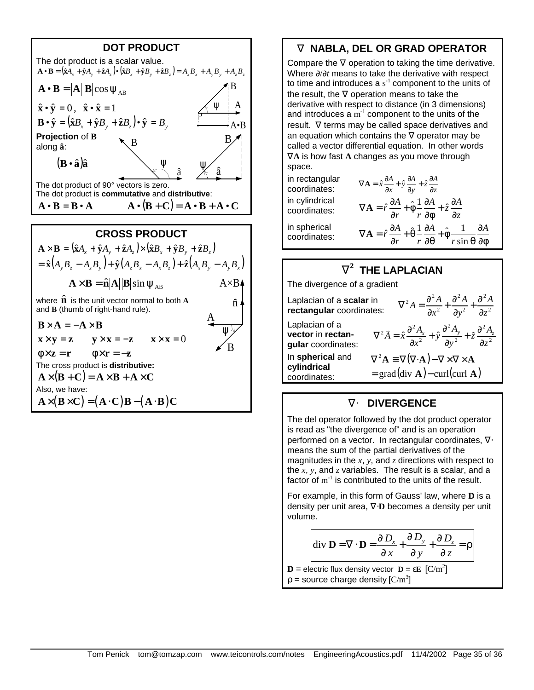

# **Ñ NABLA, DEL OR GRAD OPERATOR**

Compare the ∇ operation to taking the time derivative. Where ∂/∂*t* means to take the derivative with respect to time and introduces a  $s^{-1}$  component to the units of the result, the ∇ operation means to take the derivative with respect to distance (in 3 dimensions) and introduces a  $m^{-1}$  component to the units of the result. ∇ terms may be called space derivatives and an equation which contains the  $\nabla$  operator may be called a vector differential equation. In other words ∇**A** is how fast **A** changes as you move through space.

in rectangular in cylindrical coordinates: in spherical

coordinates:

in rectangular  $\nabla \mathbf{A} = \hat{x} \frac{\partial A}{\partial x} + \hat{y} \frac{\partial A}{\partial y} + \hat{z} \frac{\partial A}{\partial z}$  $\nabla \mathbf{A} = \hat{r} \frac{\partial A}{\partial r} + \hat{\phi} \frac{1}{r} \frac{\partial A}{\partial \phi} + \hat{z} \frac{\partial A}{\partial z}$ ∂r 'r∂o∣ <sup>∼</sup>∂ **A**  $\hat{r} \frac{\partial A}{\partial r} + \hat{\theta} \frac{1}{r} \frac{\partial A}{\partial r} + \hat{\phi} \frac{1}{r}$ sin  $\hat{r} \frac{\partial A}{\partial r} + \hat{\theta} \frac{1}{r} \frac{\partial A}{\partial r} + \hat{\phi} \frac{1}{r} \frac{\partial A}{\partial r}$ *r r*  $\partial \theta$  *r*  $\nabla \mathbf{A} = \hat{r} \frac{\partial A}{\partial r} + \hat{\theta} \frac{1}{r} \frac{\partial A}{\partial r} + \hat{\phi} \frac{1}{r} \frac{\partial A}{\partial r}$  $\partial r$   $r \partial \theta$   $r \sin \theta \partial \phi$ **A**

# $\tilde{\mathbf{N}}^2$  THE LAPLACIAN

The divergence of a gradient

| Laplacian of a scalar in<br>rectangular coordinates:      | $\nabla^2 A = \frac{\partial^2 A}{\partial x^2} + \frac{\partial^2 A}{\partial y^2} + \frac{\partial^2 A}{\partial z^2}$                                     |
|-----------------------------------------------------------|--------------------------------------------------------------------------------------------------------------------------------------------------------------|
| Laplacian of a<br>vector in rectan-<br>gular coordinates: | $\nabla^2 \vec{A} = \hat{x} \frac{\partial^2 A_x}{\partial x^2} + \hat{y} \frac{\partial^2 A_y}{\partial y^2} + \hat{z} \frac{\partial^2 A_z}{\partial z^2}$ |
| In spherical and<br>cylindrical<br>coordinates:           | $\nabla^2 \mathbf{A} \equiv \nabla (\nabla \cdot \mathbf{A}) - \nabla \times \nabla \times \mathbf{A}$<br>$=$ grad(div <b>A</b> ) – curl(curl <b>A</b> )     |

## **Ñ× DIVERGENCE**

The del operator followed by the dot product operator is read as "the divergence of" and is an operation performed on a vector. In rectangular coordinates, ∇⋅ means the sum of the partial derivatives of the magnitudes in the *x*, *y*, and *z* directions with respect to the  $x$ ,  $y$ , and  $z$  variables. The result is a scalar, and a factor of  $m^{-1}$  is contributed to the units of the result.

For example, in this form of Gauss' law, where **D** is a density per unit area, ∇⋅**D** becomes a density per unit volume.

$$
\text{div }\mathbf{D} = \nabla \cdot \mathbf{D} = \frac{\partial D_x}{\partial x} + \frac{\partial D_y}{\partial y} + \frac{\partial D_z}{\partial z} = \rho
$$

 **= electric flux density vector**  $**D**$  **= ε** $**E**$  $[{\rm C/m}^2]$  $p =$  source charge density  $[C/m^3]$